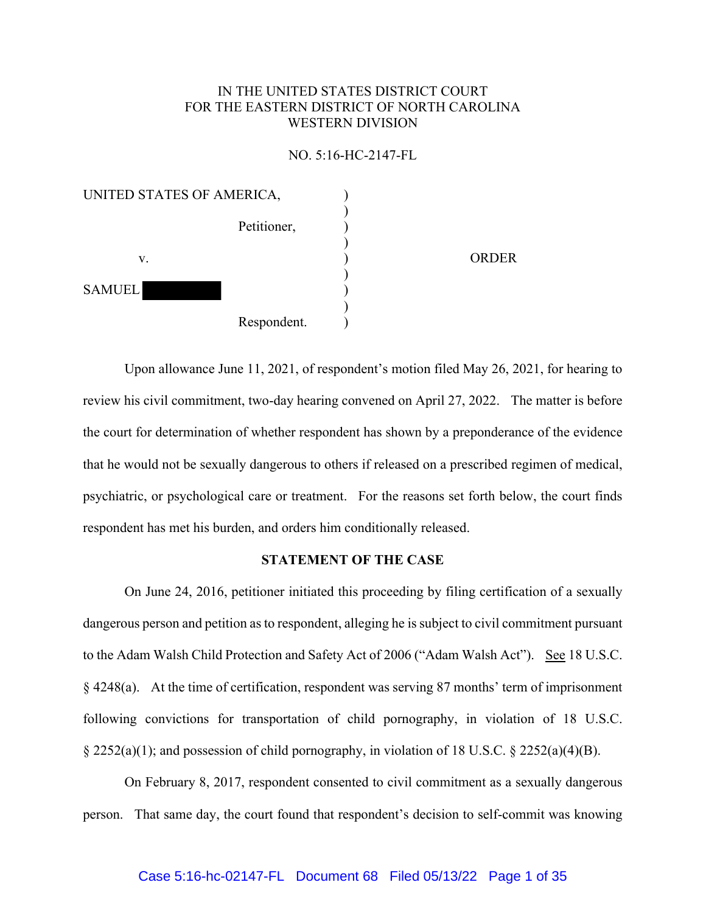# IN THE UNITED STATES DISTRICT COURT FOR THE EASTERN DISTRICT OF NORTH CAROLINA WESTERN DIVISION

#### NO. 5:16-HC-2147-FL

| UNITED STATES OF AMERICA, |              |
|---------------------------|--------------|
|                           |              |
| Petitioner,               |              |
|                           |              |
|                           | <b>ORDER</b> |
|                           |              |
| <b>SAMUEL</b>             |              |
|                           |              |
| Respondent.               |              |
|                           |              |

Upon allowance June 11, 2021, of respondent's motion filed May 26, 2021, for hearing to review his civil commitment, two-day hearing convened on April 27, 2022. The matter is before the court for determination of whether respondent has shown by a preponderance of the evidence that he would not be sexually dangerous to others if released on a prescribed regimen of medical, psychiatric, or psychological care or treatment. For the reasons set forth below, the court finds respondent has met his burden, and orders him conditionally released.

## **STATEMENT OF THE CASE**

On June 24, 2016, petitioner initiated this proceeding by filing certification of a sexually dangerous person and petition as to respondent, alleging he is subject to civil commitment pursuant to the Adam Walsh Child Protection and Safety Act of 2006 ("Adam Walsh Act"). See 18 U.S.C. § 4248(a). At the time of certification, respondent was serving 87 months' term of imprisonment following convictions for transportation of child pornography, in violation of 18 U.S.C. § 2252(a)(1); and possession of child pornography, in violation of 18 U.S.C. § 2252(a)(4)(B).

On February 8, 2017, respondent consented to civil commitment as a sexually dangerous person. That same day, the court found that respondent's decision to self-commit was knowing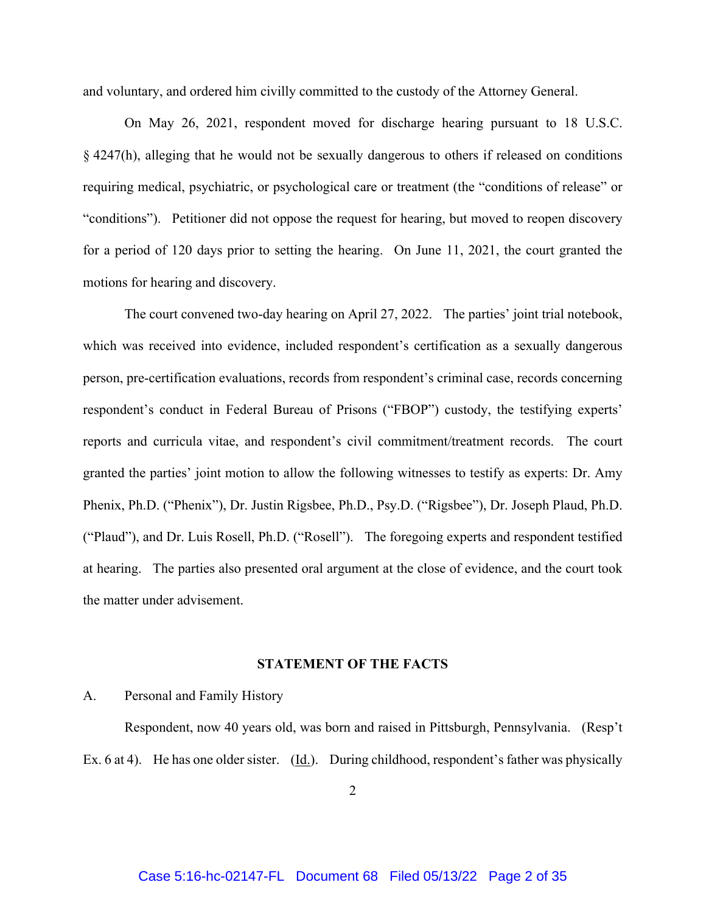and voluntary, and ordered him civilly committed to the custody of the Attorney General.

On May 26, 2021, respondent moved for discharge hearing pursuant to 18 U.S.C. § 4247(h), alleging that he would not be sexually dangerous to others if released on conditions requiring medical, psychiatric, or psychological care or treatment (the "conditions of release" or "conditions"). Petitioner did not oppose the request for hearing, but moved to reopen discovery for a period of 120 days prior to setting the hearing. On June 11, 2021, the court granted the motions for hearing and discovery.

The court convened two-day hearing on April 27, 2022. The parties' joint trial notebook, which was received into evidence, included respondent's certification as a sexually dangerous person, pre-certification evaluations, records from respondent's criminal case, records concerning respondent's conduct in Federal Bureau of Prisons ("FBOP") custody, the testifying experts' reports and curricula vitae, and respondent's civil commitment/treatment records. The court granted the parties' joint motion to allow the following witnesses to testify as experts: Dr. Amy Phenix, Ph.D. ("Phenix"), Dr. Justin Rigsbee, Ph.D., Psy.D. ("Rigsbee"), Dr. Joseph Plaud, Ph.D. ("Plaud"), and Dr. Luis Rosell, Ph.D. ("Rosell"). The foregoing experts and respondent testified at hearing. The parties also presented oral argument at the close of evidence, and the court took the matter under advisement.

#### **STATEMENT OF THE FACTS**

#### A. Personal and Family History

 Respondent, now 40 years old, was born and raised in Pittsburgh, Pennsylvania. (Resp't Ex. 6 at 4). He has one older sister. (Id.). During childhood, respondent's father was physically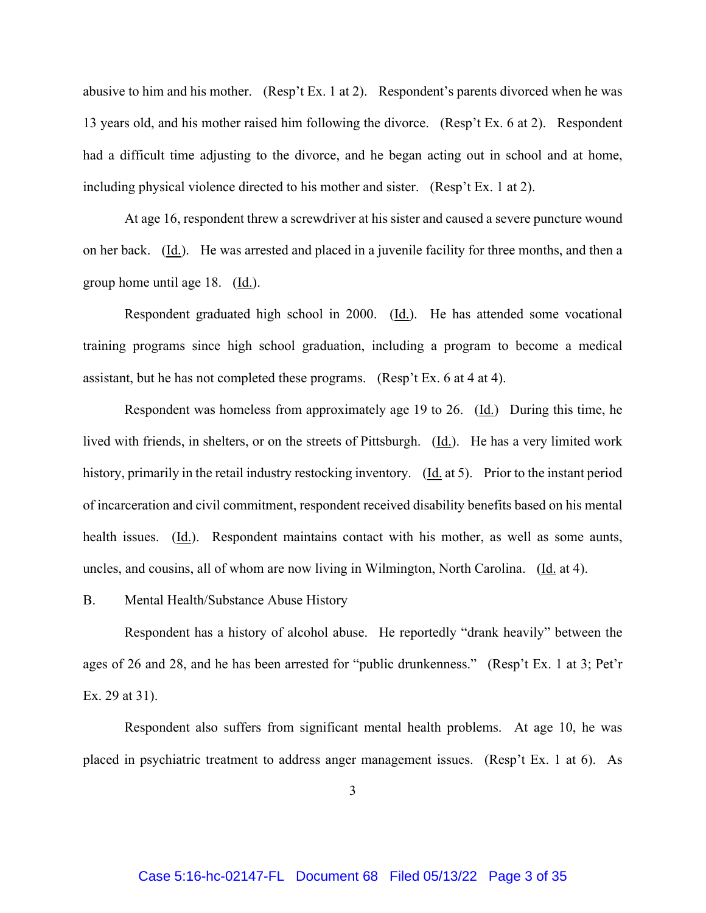abusive to him and his mother. (Resp't Ex. 1 at 2). Respondent's parents divorced when he was 13 years old, and his mother raised him following the divorce. (Resp't Ex. 6 at 2). Respondent had a difficult time adjusting to the divorce, and he began acting out in school and at home, including physical violence directed to his mother and sister. (Resp't Ex. 1 at 2).

 At age 16, respondent threw a screwdriver at his sister and caused a severe puncture wound on her back. (Id.). He was arrested and placed in a juvenile facility for three months, and then a group home until age 18. (Id.).

Respondent graduated high school in 2000. (Id.). He has attended some vocational training programs since high school graduation, including a program to become a medical assistant, but he has not completed these programs. (Resp't Ex. 6 at 4 at 4).

Respondent was homeless from approximately age 19 to 26. (Id.) During this time, he lived with friends, in shelters, or on the streets of Pittsburgh. (Id.). He has a very limited work history, primarily in the retail industry restocking inventory. (Id. at 5). Prior to the instant period of incarceration and civil commitment, respondent received disability benefits based on his mental health issues. (Id.). Respondent maintains contact with his mother, as well as some aunts, uncles, and cousins, all of whom are now living in Wilmington, North Carolina. (Id. at 4).

B. Mental Health/Substance Abuse History

 Respondent has a history of alcohol abuse. He reportedly "drank heavily" between the ages of 26 and 28, and he has been arrested for "public drunkenness." (Resp't Ex. 1 at 3; Pet'r Ex. 29 at 31).

 Respondent also suffers from significant mental health problems. At age 10, he was placed in psychiatric treatment to address anger management issues. (Resp't Ex. 1 at 6). As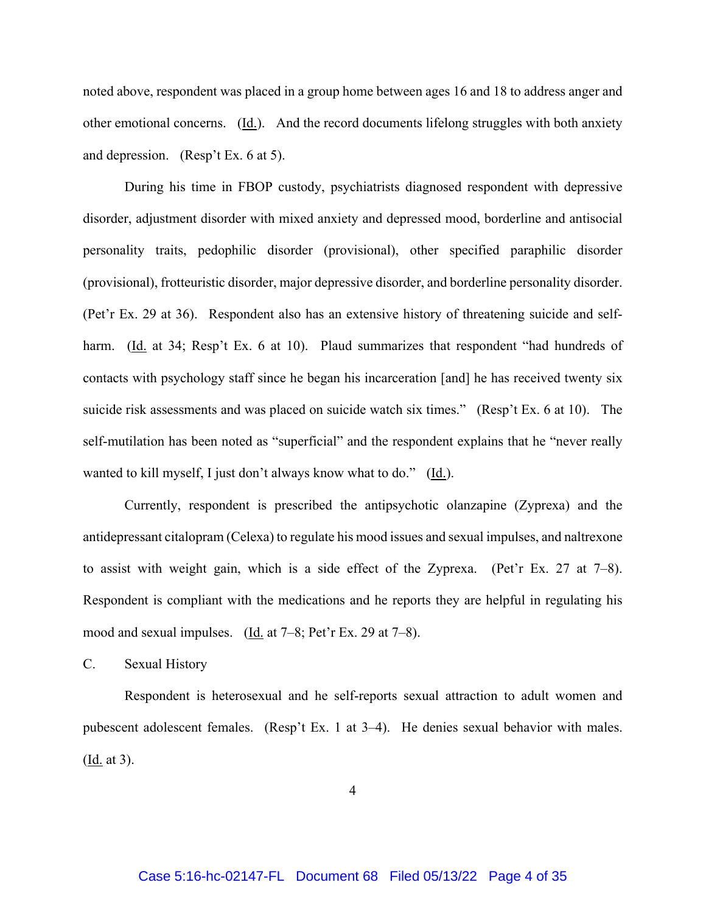noted above, respondent was placed in a group home between ages 16 and 18 to address anger and other emotional concerns. (Id.). And the record documents lifelong struggles with both anxiety and depression. (Resp't Ex. 6 at 5).

 During his time in FBOP custody, psychiatrists diagnosed respondent with depressive disorder, adjustment disorder with mixed anxiety and depressed mood, borderline and antisocial personality traits, pedophilic disorder (provisional), other specified paraphilic disorder (provisional), frotteuristic disorder, major depressive disorder, and borderline personality disorder. (Pet'r Ex. 29 at 36). Respondent also has an extensive history of threatening suicide and selfharm. (Id. at 34; Resp't Ex. 6 at 10). Plaud summarizes that respondent "had hundreds of contacts with psychology staff since he began his incarceration [and] he has received twenty six suicide risk assessments and was placed on suicide watch six times." (Resp't Ex. 6 at 10). The self-mutilation has been noted as "superficial" and the respondent explains that he "never really wanted to kill myself, I just don't always know what to do." (Id.).

 Currently, respondent is prescribed the antipsychotic olanzapine (Zyprexa) and the antidepressant citalopram (Celexa) to regulate his mood issues and sexual impulses, and naltrexone to assist with weight gain, which is a side effect of the Zyprexa. (Pet'r Ex. 27 at 7–8). Respondent is compliant with the medications and he reports they are helpful in regulating his mood and sexual impulses. (Id. at 7–8; Pet'r Ex. 29 at 7–8).

C. Sexual History

 Respondent is heterosexual and he self-reports sexual attraction to adult women and pubescent adolescent females. (Resp't Ex. 1 at 3–4). He denies sexual behavior with males.  $(\underline{Id.}$  at 3).

4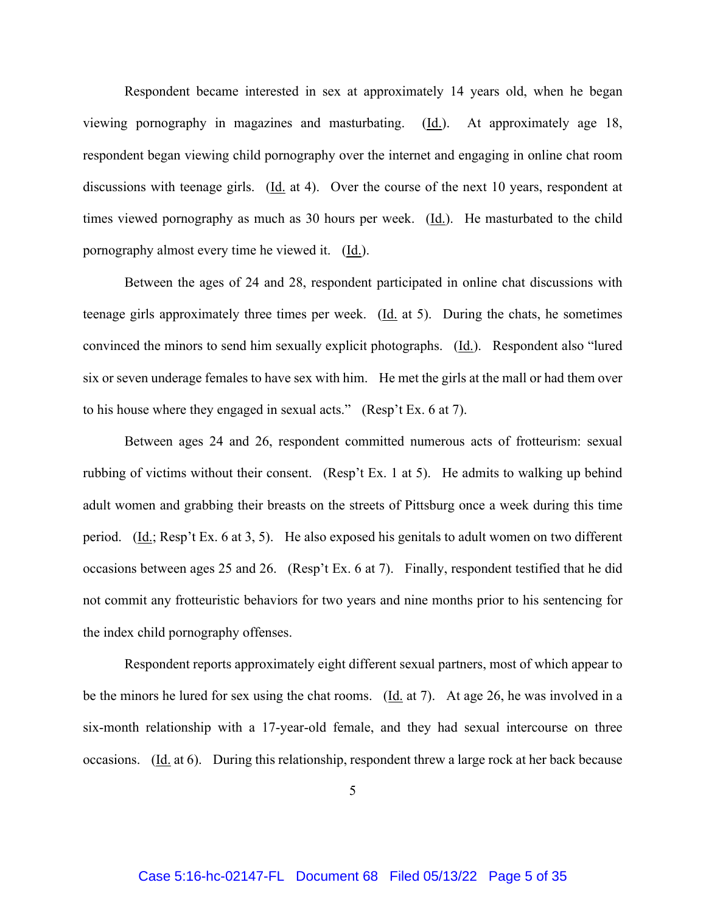Respondent became interested in sex at approximately 14 years old, when he began viewing pornography in magazines and masturbating. (Id.). At approximately age 18, respondent began viewing child pornography over the internet and engaging in online chat room discussions with teenage girls. (Id. at 4). Over the course of the next 10 years, respondent at times viewed pornography as much as 30 hours per week. (Id.). He masturbated to the child pornography almost every time he viewed it. (Id.).

 Between the ages of 24 and 28, respondent participated in online chat discussions with teenage girls approximately three times per week. (Id. at 5). During the chats, he sometimes convinced the minors to send him sexually explicit photographs. (Id.). Respondent also "lured six or seven underage females to have sex with him. He met the girls at the mall or had them over to his house where they engaged in sexual acts." (Resp't Ex. 6 at 7).

 Between ages 24 and 26, respondent committed numerous acts of frotteurism: sexual rubbing of victims without their consent. (Resp't Ex. 1 at 5). He admits to walking up behind adult women and grabbing their breasts on the streets of Pittsburg once a week during this time period. (Id.; Resp't Ex. 6 at 3, 5). He also exposed his genitals to adult women on two different occasions between ages 25 and 26. (Resp't Ex. 6 at 7). Finally, respondent testified that he did not commit any frotteuristic behaviors for two years and nine months prior to his sentencing for the index child pornography offenses.

 Respondent reports approximately eight different sexual partners, most of which appear to be the minors he lured for sex using the chat rooms. (Id. at 7). At age 26, he was involved in a six-month relationship with a 17-year-old female, and they had sexual intercourse on three occasions. (Id. at 6). During this relationship, respondent threw a large rock at her back because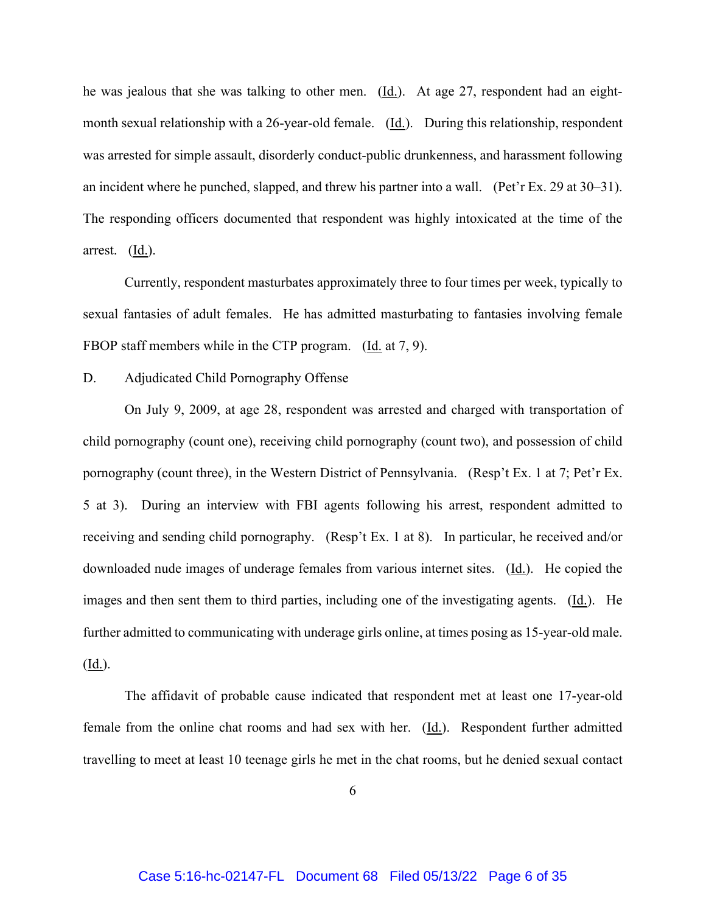he was jealous that she was talking to other men.  $(\underline{Id})$ . At age 27, respondent had an eightmonth sexual relationship with a 26-year-old female. (Id.). During this relationship, respondent was arrested for simple assault, disorderly conduct-public drunkenness, and harassment following an incident where he punched, slapped, and threw his partner into a wall. (Pet'r Ex. 29 at 30–31). The responding officers documented that respondent was highly intoxicated at the time of the arrest. (Id.).

 Currently, respondent masturbates approximately three to four times per week, typically to sexual fantasies of adult females. He has admitted masturbating to fantasies involving female FBOP staff members while in the CTP program. (Id. at 7, 9).

## D. Adjudicated Child Pornography Offense

 On July 9, 2009, at age 28, respondent was arrested and charged with transportation of child pornography (count one), receiving child pornography (count two), and possession of child pornography (count three), in the Western District of Pennsylvania. (Resp't Ex. 1 at 7; Pet'r Ex. 5 at 3). During an interview with FBI agents following his arrest, respondent admitted to receiving and sending child pornography. (Resp't Ex. 1 at 8). In particular, he received and/or downloaded nude images of underage females from various internet sites. (Id.). He copied the images and then sent them to third parties, including one of the investigating agents. (Id.). He further admitted to communicating with underage girls online, at times posing as 15-year-old male. (Id.).

 The affidavit of probable cause indicated that respondent met at least one 17-year-old female from the online chat rooms and had sex with her.  $(\underline{Id.})$ . Respondent further admitted travelling to meet at least 10 teenage girls he met in the chat rooms, but he denied sexual contact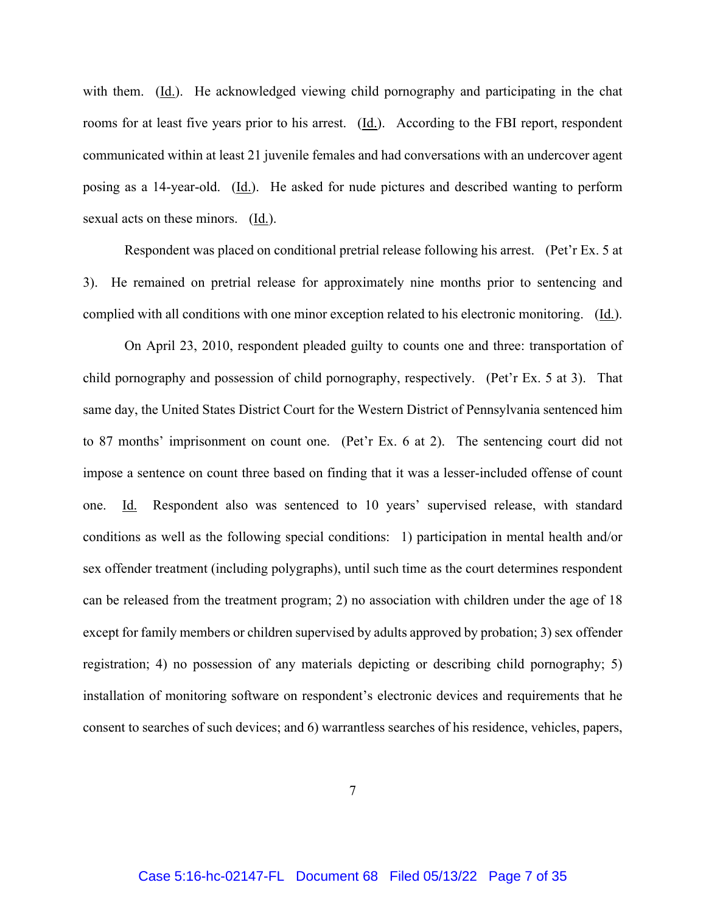with them. (Id.). He acknowledged viewing child pornography and participating in the chat rooms for at least five years prior to his arrest. (Id.). According to the FBI report, respondent communicated within at least 21 juvenile females and had conversations with an undercover agent posing as a 14-year-old. (Id.). He asked for nude pictures and described wanting to perform sexual acts on these minors. (Id.).

 Respondent was placed on conditional pretrial release following his arrest. (Pet'r Ex. 5 at 3). He remained on pretrial release for approximately nine months prior to sentencing and complied with all conditions with one minor exception related to his electronic monitoring. (Id.).

 On April 23, 2010, respondent pleaded guilty to counts one and three: transportation of child pornography and possession of child pornography, respectively. (Pet'r Ex. 5 at 3). That same day, the United States District Court for the Western District of Pennsylvania sentenced him to 87 months' imprisonment on count one. (Pet'r Ex. 6 at 2). The sentencing court did not impose a sentence on count three based on finding that it was a lesser-included offense of count one. Id. Respondent also was sentenced to 10 years' supervised release, with standard conditions as well as the following special conditions: 1) participation in mental health and/or sex offender treatment (including polygraphs), until such time as the court determines respondent can be released from the treatment program; 2) no association with children under the age of 18 except for family members or children supervised by adults approved by probation; 3) sex offender registration; 4) no possession of any materials depicting or describing child pornography; 5) installation of monitoring software on respondent's electronic devices and requirements that he consent to searches of such devices; and 6) warrantless searches of his residence, vehicles, papers,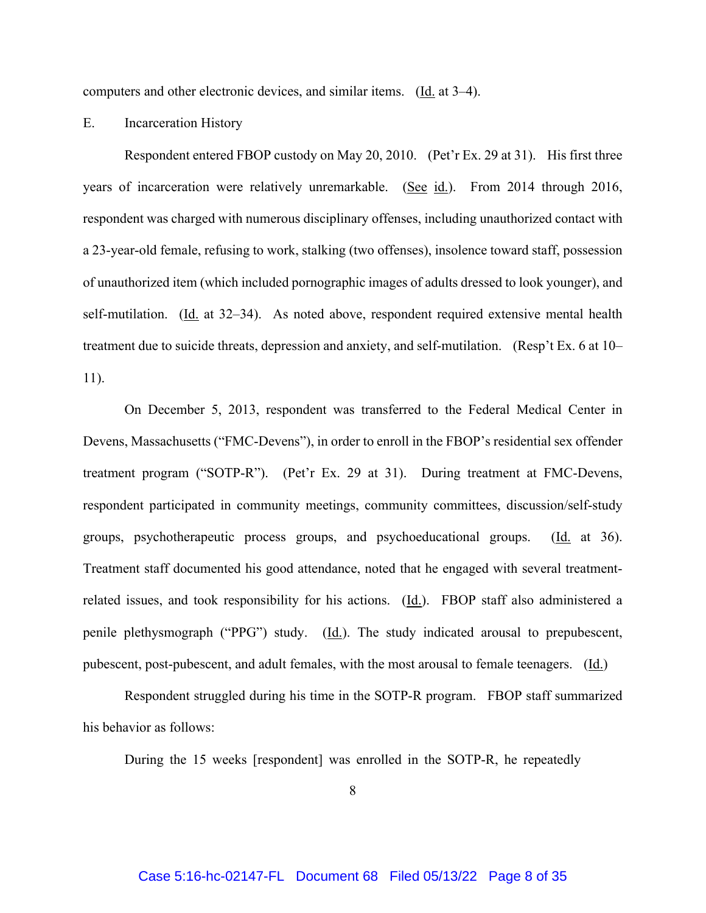computers and other electronic devices, and similar items. (Id. at 3–4).

#### E. Incarceration History

 Respondent entered FBOP custody on May 20, 2010. (Pet'r Ex. 29 at 31). His first three years of incarceration were relatively unremarkable. (See id.). From 2014 through 2016, respondent was charged with numerous disciplinary offenses, including unauthorized contact with a 23-year-old female, refusing to work, stalking (two offenses), insolence toward staff, possession of unauthorized item (which included pornographic images of adults dressed to look younger), and self-mutilation. (Id. at 32–34). As noted above, respondent required extensive mental health treatment due to suicide threats, depression and anxiety, and self-mutilation. (Resp't Ex. 6 at 10– 11).

 On December 5, 2013, respondent was transferred to the Federal Medical Center in Devens, Massachusetts ("FMC-Devens"), in order to enroll in the FBOP's residential sex offender treatment program ("SOTP-R"). (Pet'r Ex. 29 at 31). During treatment at FMC-Devens, respondent participated in community meetings, community committees, discussion/self-study groups, psychotherapeutic process groups, and psychoeducational groups. (Id. at 36). Treatment staff documented his good attendance, noted that he engaged with several treatmentrelated issues, and took responsibility for his actions. (Id.). FBOP staff also administered a penile plethysmograph ("PPG") study. (Id.). The study indicated arousal to prepubescent, pubescent, post-pubescent, and adult females, with the most arousal to female teenagers. (Id.)

 Respondent struggled during his time in the SOTP-R program. FBOP staff summarized his behavior as follows:

During the 15 weeks [respondent] was enrolled in the SOTP-R, he repeatedly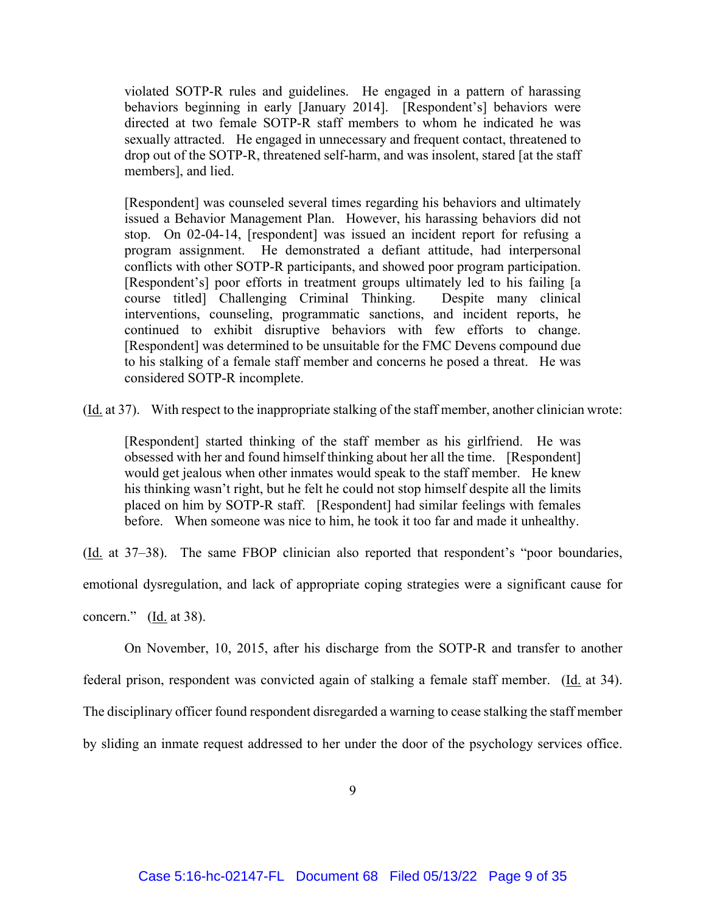violated SOTP-R rules and guidelines. He engaged in a pattern of harassing behaviors beginning in early [January 2014]. [Respondent's] behaviors were directed at two female SOTP-R staff members to whom he indicated he was sexually attracted. He engaged in unnecessary and frequent contact, threatened to drop out of the SOTP-R, threatened self-harm, and was insolent, stared [at the staff members], and lied.

[Respondent] was counseled several times regarding his behaviors and ultimately issued a Behavior Management Plan. However, his harassing behaviors did not stop. On 02-04-14, [respondent] was issued an incident report for refusing a program assignment. He demonstrated a defiant attitude, had interpersonal conflicts with other SOTP-R participants, and showed poor program participation. [Respondent's] poor efforts in treatment groups ultimately led to his failing [a course titled] Challenging Criminal Thinking. Despite many clinical interventions, counseling, programmatic sanctions, and incident reports, he continued to exhibit disruptive behaviors with few efforts to change. [Respondent] was determined to be unsuitable for the FMC Devens compound due to his stalking of a female staff member and concerns he posed a threat. He was considered SOTP-R incomplete.

(Id. at 37). With respect to the inappropriate stalking of the staff member, another clinician wrote:

[Respondent] started thinking of the staff member as his girlfriend. He was obsessed with her and found himself thinking about her all the time. [Respondent] would get jealous when other inmates would speak to the staff member. He knew his thinking wasn't right, but he felt he could not stop himself despite all the limits placed on him by SOTP-R staff. [Respondent] had similar feelings with females before. When someone was nice to him, he took it too far and made it unhealthy.

(Id. at 37–38). The same FBOP clinician also reported that respondent's "poor boundaries,

emotional dysregulation, and lack of appropriate coping strategies were a significant cause for

concern." (Id. at 38).

 On November, 10, 2015, after his discharge from the SOTP-R and transfer to another federal prison, respondent was convicted again of stalking a female staff member. (Id. at 34). The disciplinary officer found respondent disregarded a warning to cease stalking the staff member by sliding an inmate request addressed to her under the door of the psychology services office.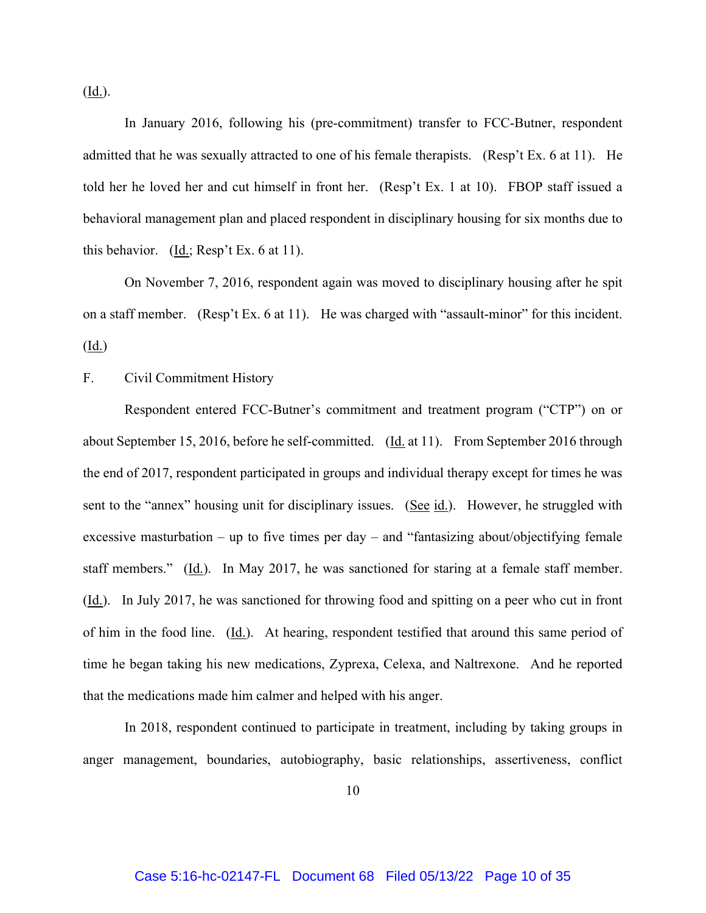$(\underline{Id.})$ .

 In January 2016, following his (pre-commitment) transfer to FCC-Butner, respondent admitted that he was sexually attracted to one of his female therapists. (Resp't Ex. 6 at 11). He told her he loved her and cut himself in front her. (Resp't Ex. 1 at 10). FBOP staff issued a behavioral management plan and placed respondent in disciplinary housing for six months due to this behavior.  $(\underline{Id.}; \text{Resp't Ex. } 6 \text{ at } 11).$ 

 On November 7, 2016, respondent again was moved to disciplinary housing after he spit on a staff member. (Resp't Ex. 6 at 11). He was charged with "assault-minor" for this incident. (Id.)

F. Civil Commitment History

Respondent entered FCC-Butner's commitment and treatment program ("CTP") on or about September 15, 2016, before he self-committed. (Id. at 11). From September 2016 through the end of 2017, respondent participated in groups and individual therapy except for times he was sent to the "annex" housing unit for disciplinary issues. (See id.). However, he struggled with excessive masturbation – up to five times per day – and "fantasizing about/objectifying female staff members." (Id.). In May 2017, he was sanctioned for staring at a female staff member. (Id.). In July 2017, he was sanctioned for throwing food and spitting on a peer who cut in front of him in the food line. (Id.). At hearing, respondent testified that around this same period of time he began taking his new medications, Zyprexa, Celexa, and Naltrexone. And he reported that the medications made him calmer and helped with his anger.

In 2018, respondent continued to participate in treatment, including by taking groups in anger management, boundaries, autobiography, basic relationships, assertiveness, conflict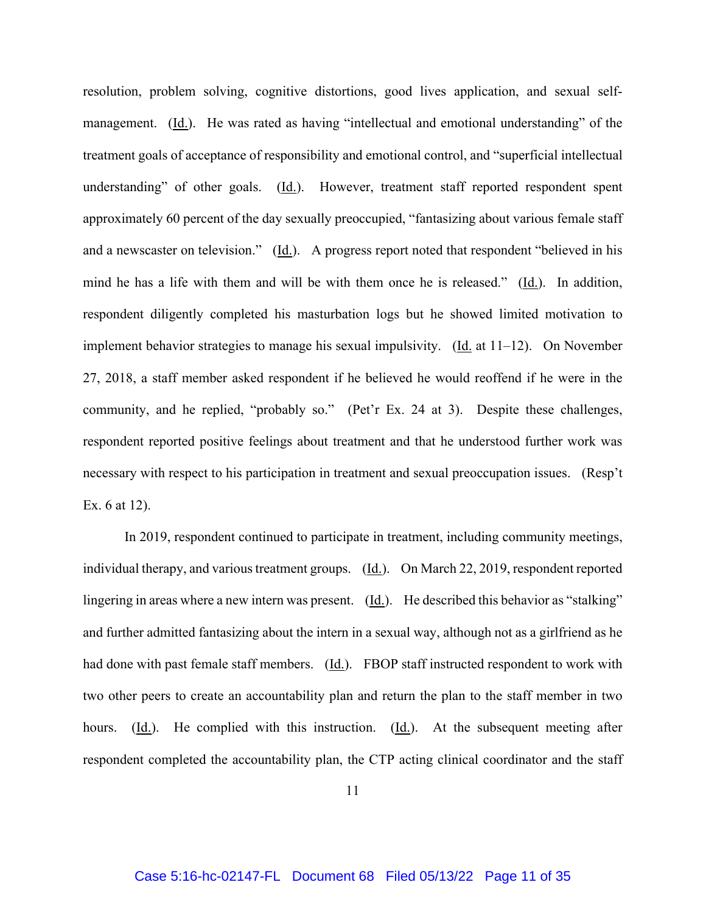resolution, problem solving, cognitive distortions, good lives application, and sexual selfmanagement. (Id.). He was rated as having "intellectual and emotional understanding" of the treatment goals of acceptance of responsibility and emotional control, and "superficial intellectual understanding" of other goals. (Id.). However, treatment staff reported respondent spent approximately 60 percent of the day sexually preoccupied, "fantasizing about various female staff and a newscaster on television." (Id.). A progress report noted that respondent "believed in his mind he has a life with them and will be with them once he is released." (Id.). In addition, respondent diligently completed his masturbation logs but he showed limited motivation to implement behavior strategies to manage his sexual impulsivity. (Id. at 11–12). On November 27, 2018, a staff member asked respondent if he believed he would reoffend if he were in the community, and he replied, "probably so." (Pet'r Ex. 24 at 3). Despite these challenges, respondent reported positive feelings about treatment and that he understood further work was necessary with respect to his participation in treatment and sexual preoccupation issues. (Resp't Ex. 6 at 12).

In 2019, respondent continued to participate in treatment, including community meetings, individual therapy, and various treatment groups. (Id.). On March 22, 2019, respondent reported lingering in areas where a new intern was present. (Id.). He described this behavior as "stalking" and further admitted fantasizing about the intern in a sexual way, although not as a girlfriend as he had done with past female staff members. (Id.). FBOP staff instructed respondent to work with two other peers to create an accountability plan and return the plan to the staff member in two hours.  $(\underline{Id.})$ . He complied with this instruction.  $(\underline{Id.})$ . At the subsequent meeting after respondent completed the accountability plan, the CTP acting clinical coordinator and the staff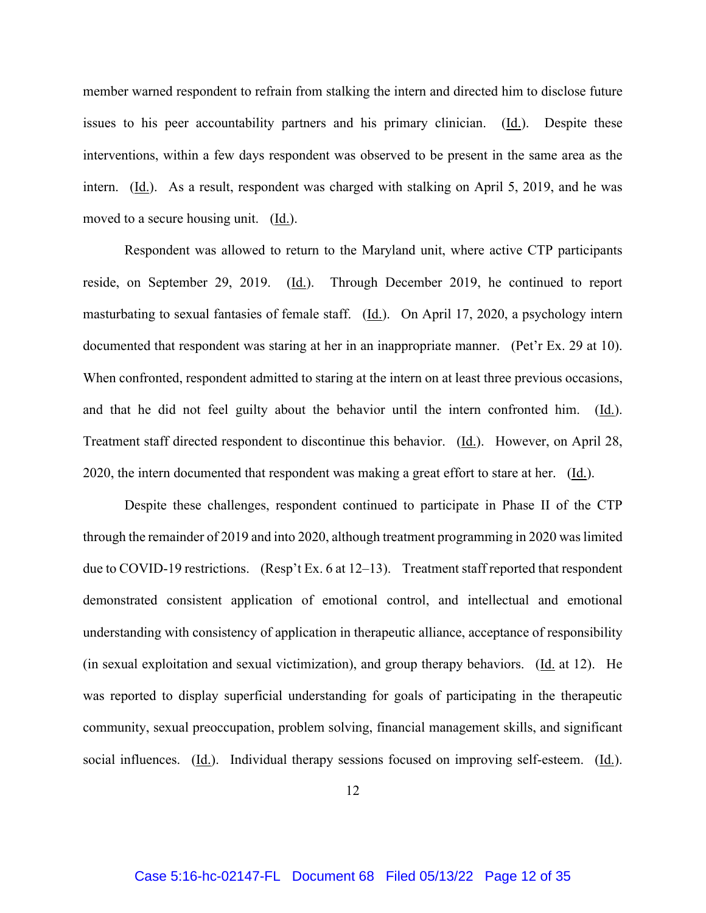member warned respondent to refrain from stalking the intern and directed him to disclose future issues to his peer accountability partners and his primary clinician. (Id.). Despite these interventions, within a few days respondent was observed to be present in the same area as the intern. (Id.). As a result, respondent was charged with stalking on April 5, 2019, and he was moved to a secure housing unit. (Id.).

Respondent was allowed to return to the Maryland unit, where active CTP participants reside, on September 29, 2019. (Id.). Through December 2019, he continued to report masturbating to sexual fantasies of female staff.  $(\underline{Id})$ . On April 17, 2020, a psychology intern documented that respondent was staring at her in an inappropriate manner. (Pet'r Ex. 29 at 10). When confronted, respondent admitted to staring at the intern on at least three previous occasions, and that he did not feel guilty about the behavior until the intern confronted him.  $(Id.)$ . Treatment staff directed respondent to discontinue this behavior. (Id.). However, on April 28, 2020, the intern documented that respondent was making a great effort to stare at her. (Id.).

Despite these challenges, respondent continued to participate in Phase II of the CTP through the remainder of 2019 and into 2020, although treatment programming in 2020 was limited due to COVID-19 restrictions. (Resp't Ex. 6 at 12–13). Treatment staff reported that respondent demonstrated consistent application of emotional control, and intellectual and emotional understanding with consistency of application in therapeutic alliance, acceptance of responsibility (in sexual exploitation and sexual victimization), and group therapy behaviors. (Id. at 12). He was reported to display superficial understanding for goals of participating in the therapeutic community, sexual preoccupation, problem solving, financial management skills, and significant social influences. (Id.). Individual therapy sessions focused on improving self-esteem. (Id.).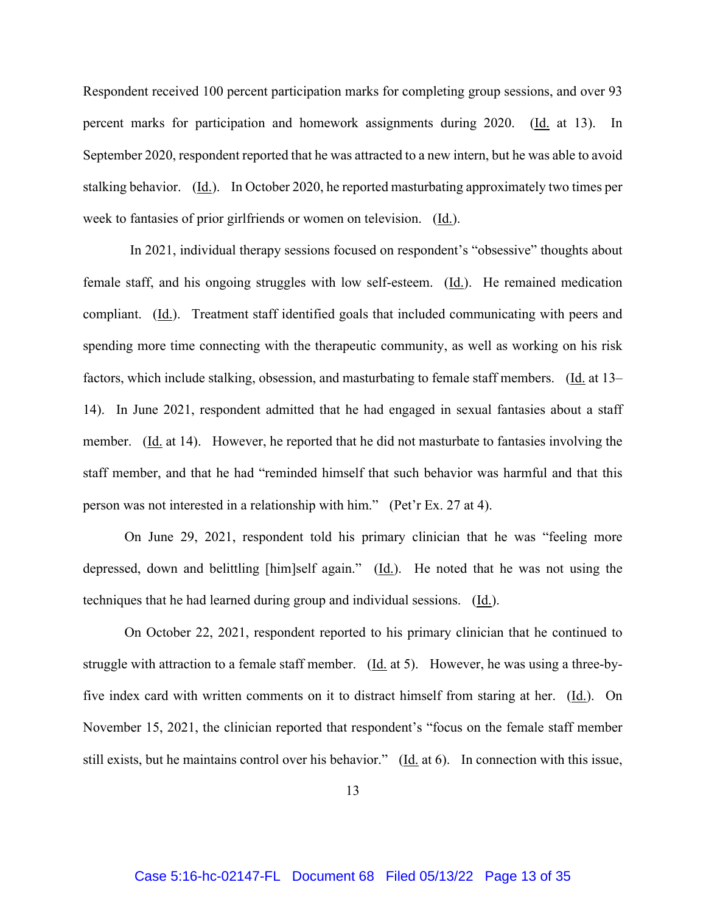Respondent received 100 percent participation marks for completing group sessions, and over 93 percent marks for participation and homework assignments during 2020. (Id. at 13). In September 2020, respondent reported that he was attracted to a new intern, but he was able to avoid stalking behavior. (Id.). In October 2020, he reported masturbating approximately two times per week to fantasies of prior girlfriends or women on television. (Id.).

 In 2021, individual therapy sessions focused on respondent's "obsessive" thoughts about female staff, and his ongoing struggles with low self-esteem. (Id.). He remained medication compliant. (Id.). Treatment staff identified goals that included communicating with peers and spending more time connecting with the therapeutic community, as well as working on his risk factors, which include stalking, obsession, and masturbating to female staff members. (Id. at 13– 14). In June 2021, respondent admitted that he had engaged in sexual fantasies about a staff member. (Id. at 14). However, he reported that he did not masturbate to fantasies involving the staff member, and that he had "reminded himself that such behavior was harmful and that this person was not interested in a relationship with him." (Pet'r Ex. 27 at 4).

 On June 29, 2021, respondent told his primary clinician that he was "feeling more depressed, down and belittling [him]self again." (Id.). He noted that he was not using the techniques that he had learned during group and individual sessions. (Id.).

 On October 22, 2021, respondent reported to his primary clinician that he continued to struggle with attraction to a female staff member. (Id. at 5). However, he was using a three-byfive index card with written comments on it to distract himself from staring at her. (Id.). On November 15, 2021, the clinician reported that respondent's "focus on the female staff member still exists, but he maintains control over his behavior." (Id. at 6). In connection with this issue,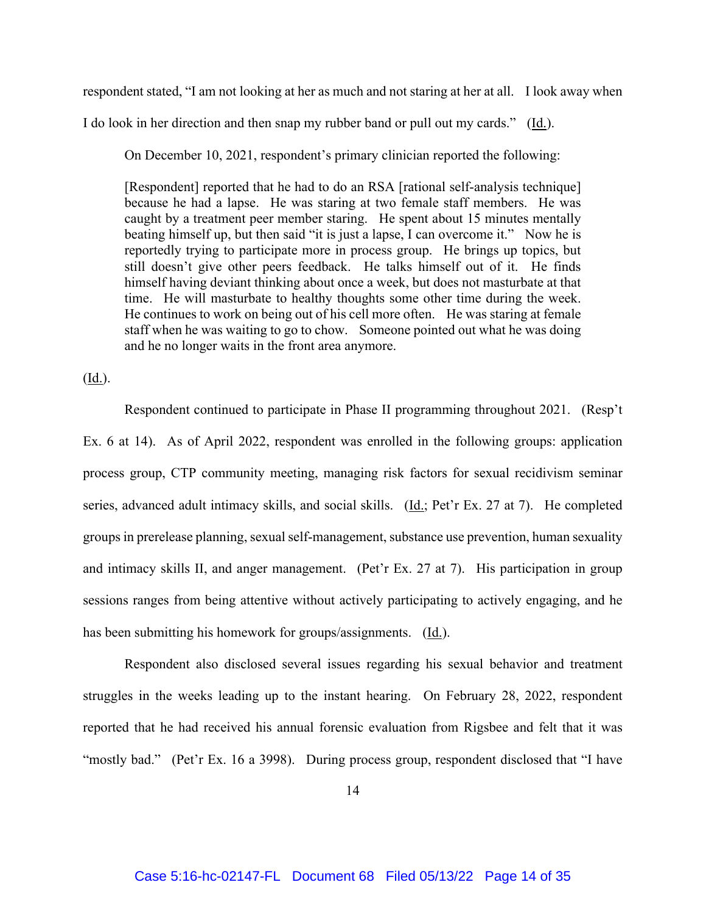respondent stated, "I am not looking at her as much and not staring at her at all. I look away when

I do look in her direction and then snap my rubber band or pull out my cards." (Id.).

On December 10, 2021, respondent's primary clinician reported the following:

[Respondent] reported that he had to do an RSA [rational self-analysis technique] because he had a lapse. He was staring at two female staff members. He was caught by a treatment peer member staring. He spent about 15 minutes mentally beating himself up, but then said "it is just a lapse, I can overcome it." Now he is reportedly trying to participate more in process group. He brings up topics, but still doesn't give other peers feedback. He talks himself out of it. He finds himself having deviant thinking about once a week, but does not masturbate at that time. He will masturbate to healthy thoughts some other time during the week. He continues to work on being out of his cell more often. He was staring at female staff when he was waiting to go to chow. Someone pointed out what he was doing and he no longer waits in the front area anymore.

(Id.).

 Respondent continued to participate in Phase II programming throughout 2021. (Resp't Ex. 6 at 14). As of April 2022, respondent was enrolled in the following groups: application process group, CTP community meeting, managing risk factors for sexual recidivism seminar series, advanced adult intimacy skills, and social skills. (Id.; Pet'r Ex. 27 at 7). He completed groups in prerelease planning, sexual self-management, substance use prevention, human sexuality and intimacy skills II, and anger management. (Pet'r Ex. 27 at 7). His participation in group sessions ranges from being attentive without actively participating to actively engaging, and he has been submitting his homework for groups/assignments. (Id.).

 Respondent also disclosed several issues regarding his sexual behavior and treatment struggles in the weeks leading up to the instant hearing. On February 28, 2022, respondent reported that he had received his annual forensic evaluation from Rigsbee and felt that it was "mostly bad." (Pet'r Ex. 16 a 3998). During process group, respondent disclosed that "I have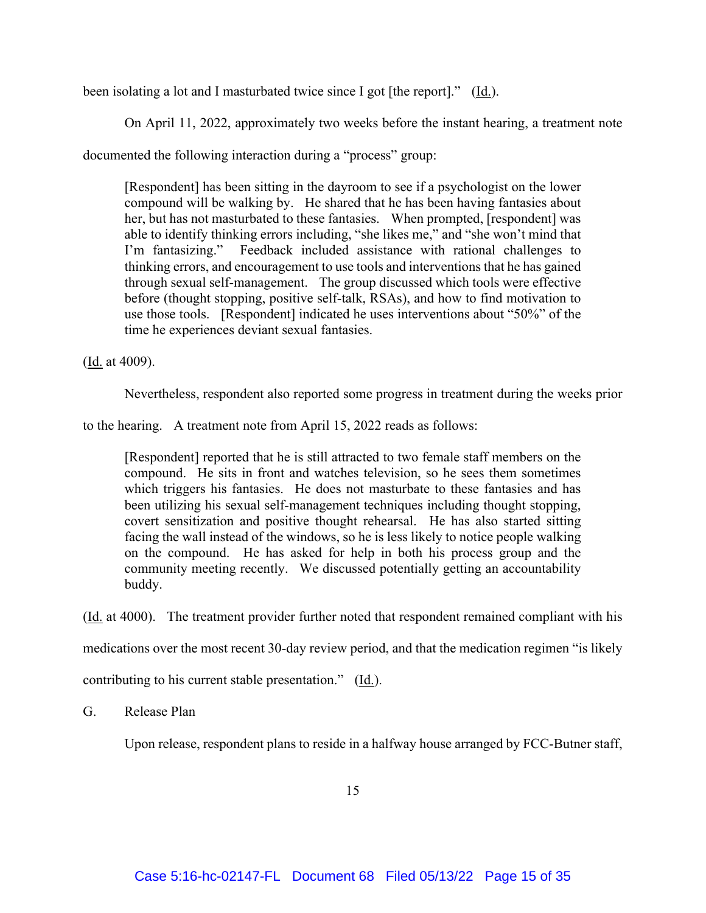been isolating a lot and I masturbated twice since I got [the report]." (Id.).

On April 11, 2022, approximately two weeks before the instant hearing, a treatment note

documented the following interaction during a "process" group:

[Respondent] has been sitting in the dayroom to see if a psychologist on the lower compound will be walking by. He shared that he has been having fantasies about her, but has not masturbated to these fantasies. When prompted, [respondent] was able to identify thinking errors including, "she likes me," and "she won't mind that I'm fantasizing." Feedback included assistance with rational challenges to thinking errors, and encouragement to use tools and interventions that he has gained through sexual self-management. The group discussed which tools were effective before (thought stopping, positive self-talk, RSAs), and how to find motivation to use those tools. [Respondent] indicated he uses interventions about "50%" of the time he experiences deviant sexual fantasies.

(Id. at 4009).

Nevertheless, respondent also reported some progress in treatment during the weeks prior

to the hearing. A treatment note from April 15, 2022 reads as follows:

[Respondent] reported that he is still attracted to two female staff members on the compound. He sits in front and watches television, so he sees them sometimes which triggers his fantasies. He does not masturbate to these fantasies and has been utilizing his sexual self-management techniques including thought stopping, covert sensitization and positive thought rehearsal. He has also started sitting facing the wall instead of the windows, so he is less likely to notice people walking on the compound. He has asked for help in both his process group and the community meeting recently. We discussed potentially getting an accountability buddy.

(Id. at 4000). The treatment provider further noted that respondent remained compliant with his

medications over the most recent 30-day review period, and that the medication regimen "is likely

contributing to his current stable presentation." (Id.).

## G. Release Plan

Upon release, respondent plans to reside in a halfway house arranged by FCC-Butner staff,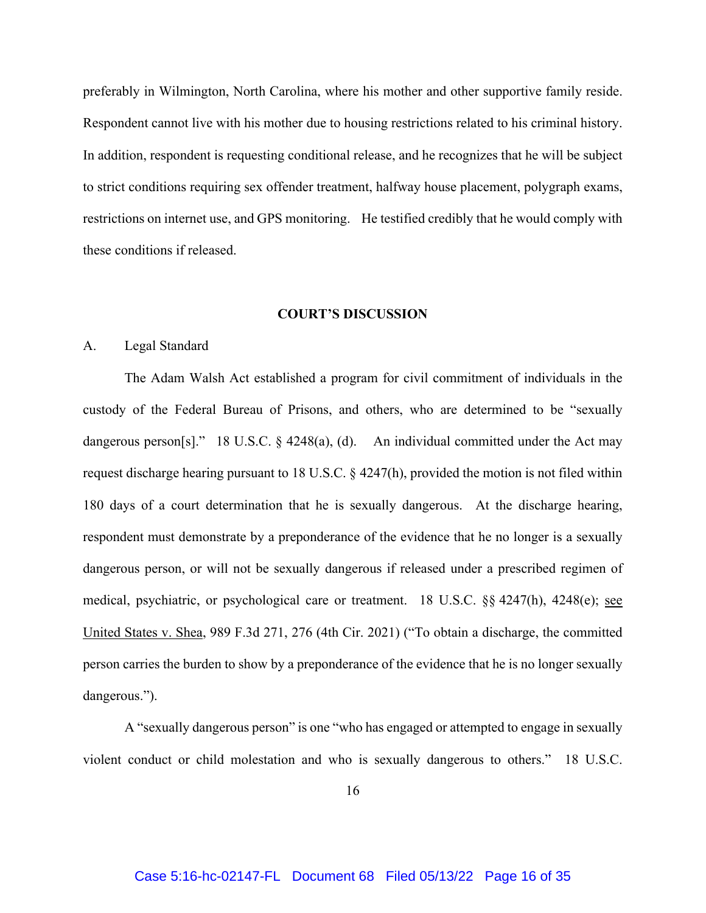preferably in Wilmington, North Carolina, where his mother and other supportive family reside. Respondent cannot live with his mother due to housing restrictions related to his criminal history. In addition, respondent is requesting conditional release, and he recognizes that he will be subject to strict conditions requiring sex offender treatment, halfway house placement, polygraph exams, restrictions on internet use, and GPS monitoring. He testified credibly that he would comply with these conditions if released.

### **COURT'S DISCUSSION**

#### A. Legal Standard

The Adam Walsh Act established a program for civil commitment of individuals in the custody of the Federal Bureau of Prisons, and others, who are determined to be "sexually dangerous person[s]." 18 U.S.C. § 4248(a), (d). An individual committed under the Act may request discharge hearing pursuant to 18 U.S.C. § 4247(h), provided the motion is not filed within 180 days of a court determination that he is sexually dangerous. At the discharge hearing, respondent must demonstrate by a preponderance of the evidence that he no longer is a sexually dangerous person, or will not be sexually dangerous if released under a prescribed regimen of medical, psychiatric, or psychological care or treatment. 18 U.S.C. §§ 4247(h), 4248(e); see United States v. Shea, 989 F.3d 271, 276 (4th Cir. 2021) ("To obtain a discharge, the committed person carries the burden to show by a preponderance of the evidence that he is no longer sexually dangerous.").

 A "sexually dangerous person" is one "who has engaged or attempted to engage in sexually violent conduct or child molestation and who is sexually dangerous to others." 18 U.S.C.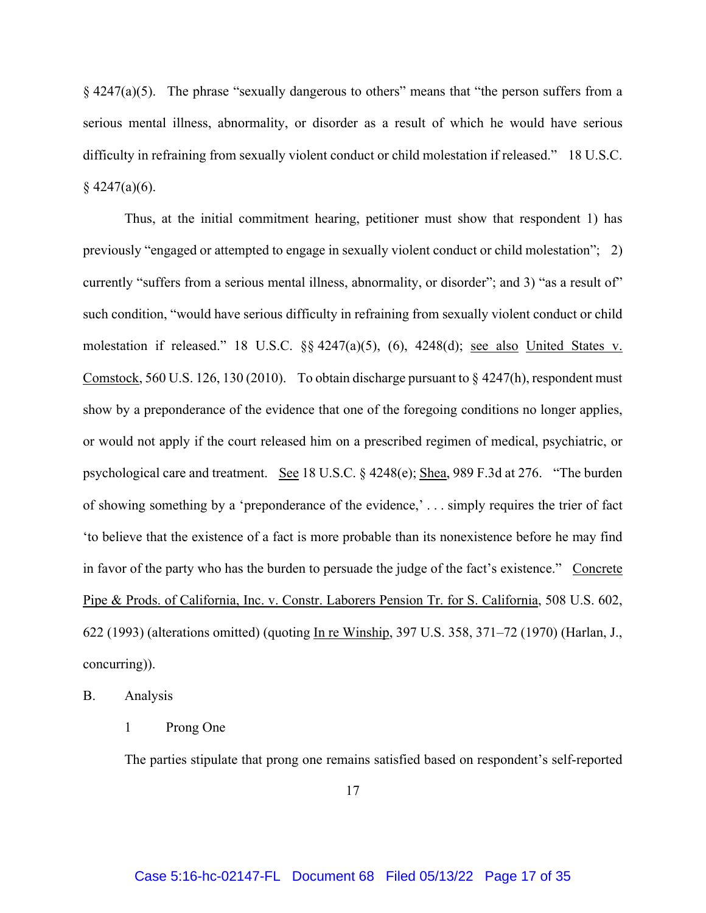§ 4247(a)(5). The phrase "sexually dangerous to others" means that "the person suffers from a serious mental illness, abnormality, or disorder as a result of which he would have serious difficulty in refraining from sexually violent conduct or child molestation if released." 18 U.S.C.  $§$  4247(a)(6).

Thus, at the initial commitment hearing, petitioner must show that respondent 1) has previously "engaged or attempted to engage in sexually violent conduct or child molestation"; 2) currently "suffers from a serious mental illness, abnormality, or disorder"; and 3) "as a result of" such condition, "would have serious difficulty in refraining from sexually violent conduct or child molestation if released." 18 U.S.C. §§ 4247(a)(5), (6), 4248(d); see also United States v. Comstock, 560 U.S. 126, 130 (2010). To obtain discharge pursuant to § 4247(h), respondent must show by a preponderance of the evidence that one of the foregoing conditions no longer applies, or would not apply if the court released him on a prescribed regimen of medical, psychiatric, or psychological care and treatment. See 18 U.S.C. § 4248(e); Shea, 989 F.3d at 276. "The burden of showing something by a 'preponderance of the evidence,' . . . simply requires the trier of fact 'to believe that the existence of a fact is more probable than its nonexistence before he may find in favor of the party who has the burden to persuade the judge of the fact's existence." Concrete Pipe & Prods. of California, Inc. v. Constr. Laborers Pension Tr. for S. California, 508 U.S. 602, 622 (1993) (alterations omitted) (quoting In re Winship, 397 U.S. 358, 371–72 (1970) (Harlan, J., concurring)).

B. Analysis

#### 1 Prong One

The parties stipulate that prong one remains satisfied based on respondent's self-reported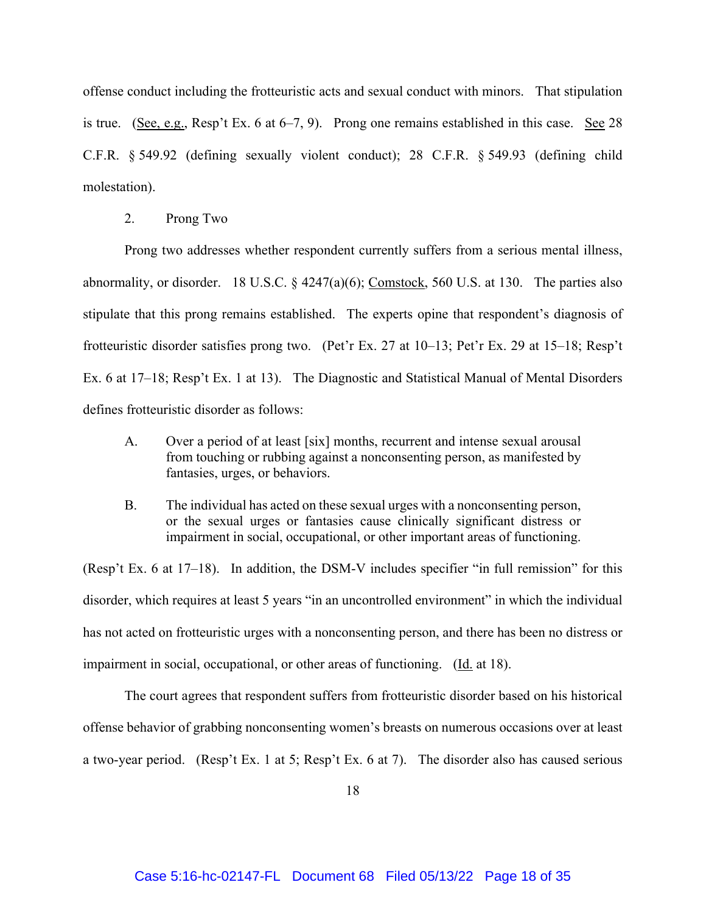offense conduct including the frotteuristic acts and sexual conduct with minors. That stipulation is true. (See, e.g., Resp't Ex. 6 at 6–7, 9). Prong one remains established in this case. See 28 C.F.R. § 549.92 (defining sexually violent conduct); 28 C.F.R. § 549.93 (defining child molestation).

2. Prong Two

Prong two addresses whether respondent currently suffers from a serious mental illness, abnormality, or disorder. 18 U.S.C. § 4247(a)(6); Comstock, 560 U.S. at 130. The parties also stipulate that this prong remains established. The experts opine that respondent's diagnosis of frotteuristic disorder satisfies prong two. (Pet'r Ex. 27 at 10–13; Pet'r Ex. 29 at 15–18; Resp't Ex. 6 at 17–18; Resp't Ex. 1 at 13). The Diagnostic and Statistical Manual of Mental Disorders defines frotteuristic disorder as follows:

- A. Over a period of at least [six] months, recurrent and intense sexual arousal from touching or rubbing against a nonconsenting person, as manifested by fantasies, urges, or behaviors.
- B. The individual has acted on these sexual urges with a nonconsenting person, or the sexual urges or fantasies cause clinically significant distress or impairment in social, occupational, or other important areas of functioning.

(Resp't Ex. 6 at 17–18). In addition, the DSM-V includes specifier "in full remission" for this disorder, which requires at least 5 years "in an uncontrolled environment" in which the individual has not acted on frotteuristic urges with a nonconsenting person, and there has been no distress or impairment in social, occupational, or other areas of functioning. (Id. at 18).

 The court agrees that respondent suffers from frotteuristic disorder based on his historical offense behavior of grabbing nonconsenting women's breasts on numerous occasions over at least a two-year period. (Resp't Ex. 1 at 5; Resp't Ex. 6 at 7). The disorder also has caused serious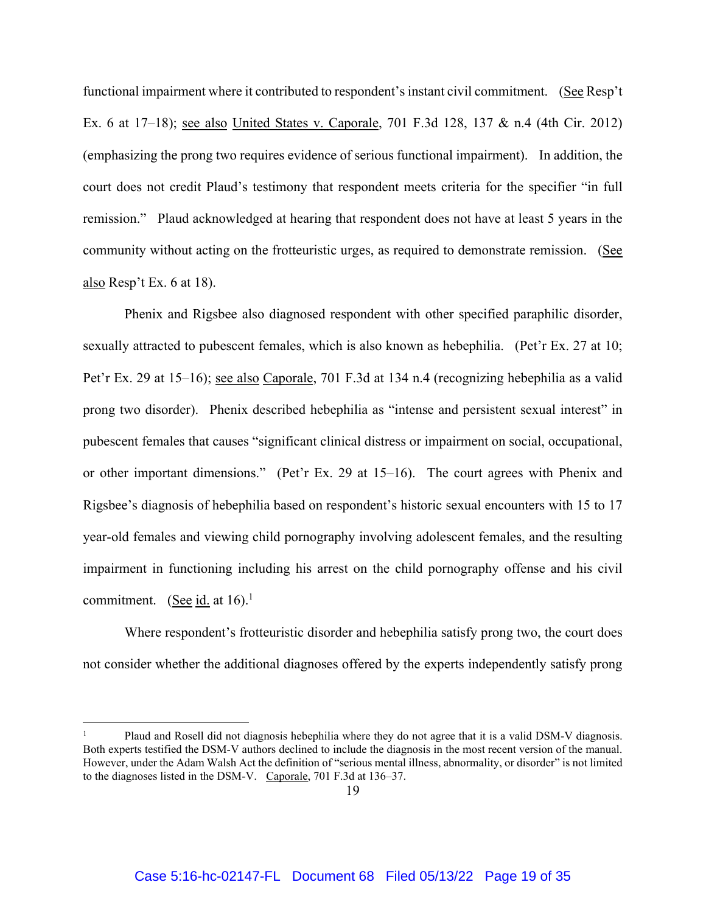functional impairment where it contributed to respondent's instant civil commitment. (See Resp't Ex. 6 at 17–18); see also United States v. Caporale, 701 F.3d 128, 137 & n.4 (4th Cir. 2012) (emphasizing the prong two requires evidence of serious functional impairment). In addition, the court does not credit Plaud's testimony that respondent meets criteria for the specifier "in full remission." Plaud acknowledged at hearing that respondent does not have at least 5 years in the community without acting on the frotteuristic urges, as required to demonstrate remission. (See also Resp't Ex. 6 at 18).

 Phenix and Rigsbee also diagnosed respondent with other specified paraphilic disorder, sexually attracted to pubescent females, which is also known as hebephilia. (Pet'r Ex. 27 at 10; Pet'r Ex. 29 at 15–16); see also Caporale, 701 F.3d at 134 n.4 (recognizing hebephilia as a valid prong two disorder). Phenix described hebephilia as "intense and persistent sexual interest" in pubescent females that causes "significant clinical distress or impairment on social, occupational, or other important dimensions." (Pet'r Ex. 29 at 15–16). The court agrees with Phenix and Rigsbee's diagnosis of hebephilia based on respondent's historic sexual encounters with 15 to 17 year-old females and viewing child pornography involving adolescent females, and the resulting impairment in functioning including his arrest on the child pornography offense and his civil commitment. (See id. at  $16$ ).<sup>1</sup>

 Where respondent's frotteuristic disorder and hebephilia satisfy prong two, the court does not consider whether the additional diagnoses offered by the experts independently satisfy prong

<sup>1</sup> Plaud and Rosell did not diagnosis hebephilia where they do not agree that it is a valid DSM-V diagnosis. Both experts testified the DSM-V authors declined to include the diagnosis in the most recent version of the manual. However, under the Adam Walsh Act the definition of "serious mental illness, abnormality, or disorder" is not limited to the diagnoses listed in the DSM-V. Caporale, 701 F.3d at 136–37.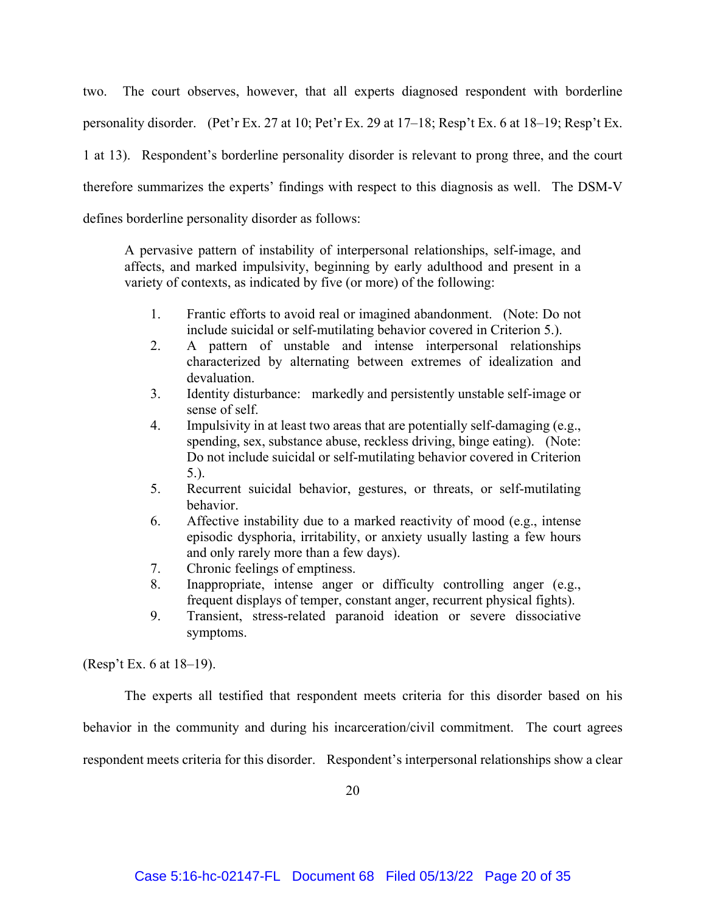two. The court observes, however, that all experts diagnosed respondent with borderline personality disorder. (Pet'r Ex. 27 at 10; Pet'r Ex. 29 at 17–18; Resp't Ex. 6 at 18–19; Resp't Ex. 1 at 13). Respondent's borderline personality disorder is relevant to prong three, and the court therefore summarizes the experts' findings with respect to this diagnosis as well. The DSM-V defines borderline personality disorder as follows:

A pervasive pattern of instability of interpersonal relationships, self-image, and affects, and marked impulsivity, beginning by early adulthood and present in a variety of contexts, as indicated by five (or more) of the following:

- 1. Frantic efforts to avoid real or imagined abandonment. (Note: Do not include suicidal or self-mutilating behavior covered in Criterion 5.).
- 2. A pattern of unstable and intense interpersonal relationships characterized by alternating between extremes of idealization and devaluation.
- 3. Identity disturbance: markedly and persistently unstable self-image or sense of self.
- 4. Impulsivity in at least two areas that are potentially self-damaging (e.g., spending, sex, substance abuse, reckless driving, binge eating). (Note: Do not include suicidal or self-mutilating behavior covered in Criterion 5.).
- 5. Recurrent suicidal behavior, gestures, or threats, or self-mutilating behavior.
- 6. Affective instability due to a marked reactivity of mood (e.g., intense episodic dysphoria, irritability, or anxiety usually lasting a few hours and only rarely more than a few days).
- 7. Chronic feelings of emptiness.
- 8. Inappropriate, intense anger or difficulty controlling anger (e.g., frequent displays of temper, constant anger, recurrent physical fights).
- 9. Transient, stress-related paranoid ideation or severe dissociative symptoms.

(Resp't Ex. 6 at 18–19).

 The experts all testified that respondent meets criteria for this disorder based on his behavior in the community and during his incarceration/civil commitment. The court agrees respondent meets criteria for this disorder. Respondent's interpersonal relationships show a clear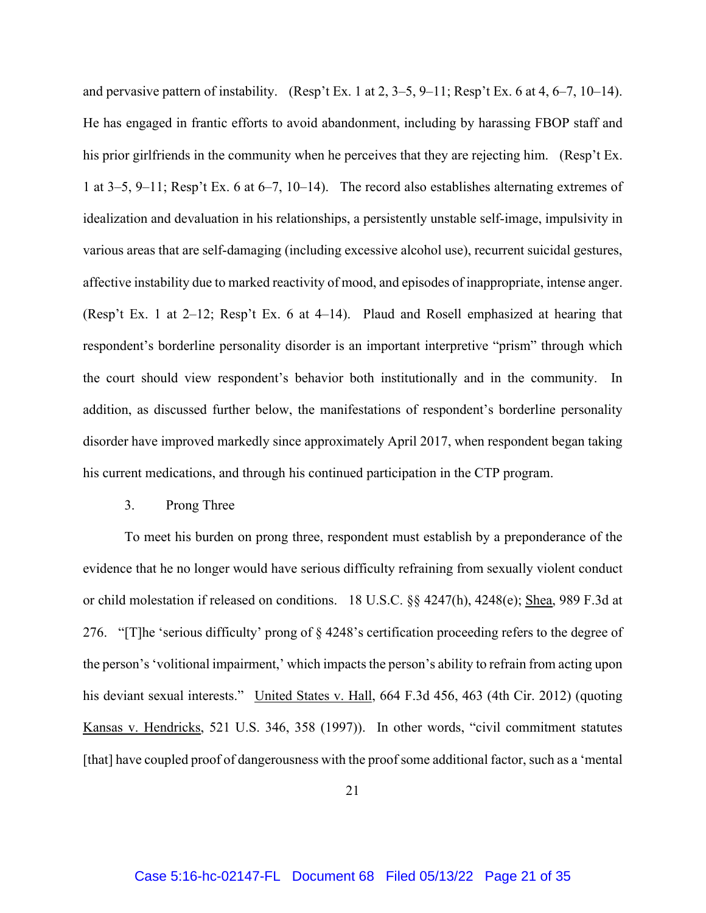and pervasive pattern of instability. (Resp't Ex. 1 at 2, 3–5, 9–11; Resp't Ex. 6 at 4, 6–7, 10–14). He has engaged in frantic efforts to avoid abandonment, including by harassing FBOP staff and his prior girlfriends in the community when he perceives that they are rejecting him. (Resp't Ex. 1 at 3–5, 9–11; Resp't Ex. 6 at 6–7, 10–14). The record also establishes alternating extremes of idealization and devaluation in his relationships, a persistently unstable self-image, impulsivity in various areas that are self-damaging (including excessive alcohol use), recurrent suicidal gestures, affective instability due to marked reactivity of mood, and episodes of inappropriate, intense anger. (Resp't Ex. 1 at 2–12; Resp't Ex. 6 at 4–14). Plaud and Rosell emphasized at hearing that respondent's borderline personality disorder is an important interpretive "prism" through which the court should view respondent's behavior both institutionally and in the community. In addition, as discussed further below, the manifestations of respondent's borderline personality disorder have improved markedly since approximately April 2017, when respondent began taking his current medications, and through his continued participation in the CTP program.

3. Prong Three

To meet his burden on prong three, respondent must establish by a preponderance of the evidence that he no longer would have serious difficulty refraining from sexually violent conduct or child molestation if released on conditions. 18 U.S.C. §§ 4247(h), 4248(e); Shea, 989 F.3d at 276. "[T]he 'serious difficulty' prong of § 4248's certification proceeding refers to the degree of the person's 'volitional impairment,' which impacts the person's ability to refrain from acting upon his deviant sexual interests." United States v. Hall, 664 F.3d 456, 463 (4th Cir. 2012) (quoting Kansas v. Hendricks, 521 U.S. 346, 358 (1997)). In other words, "civil commitment statutes [that] have coupled proof of dangerousness with the proof some additional factor, such as a 'mental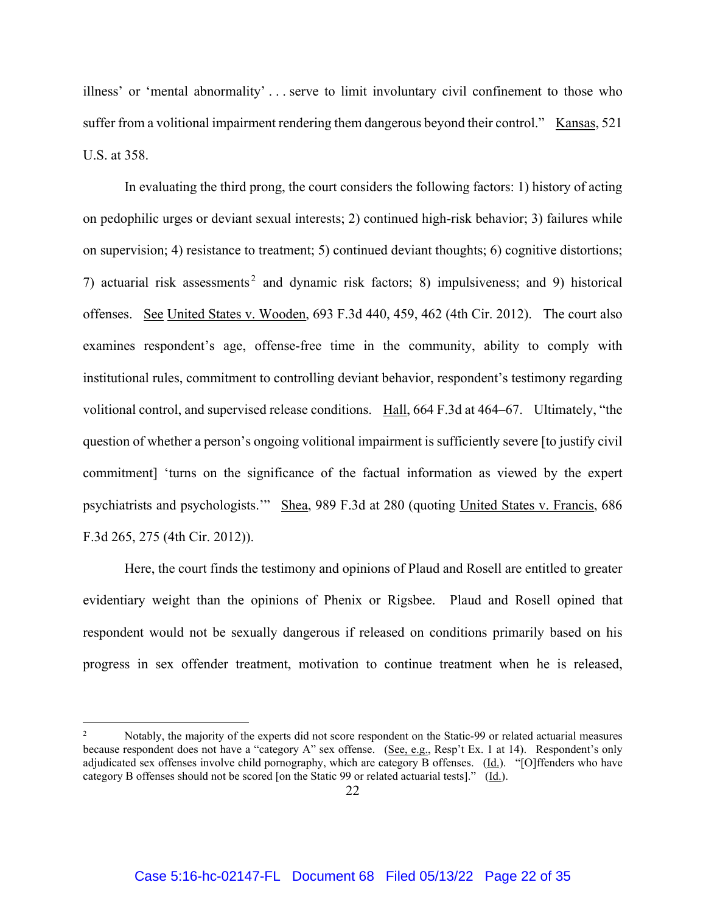illness' or 'mental abnormality' . . . serve to limit involuntary civil confinement to those who suffer from a volitional impairment rendering them dangerous beyond their control." Kansas, 521 U.S. at 358.

In evaluating the third prong, the court considers the following factors: 1) history of acting on pedophilic urges or deviant sexual interests; 2) continued high-risk behavior; 3) failures while on supervision; 4) resistance to treatment; 5) continued deviant thoughts; 6) cognitive distortions; 7) actuarial risk assessments 2 and dynamic risk factors; 8) impulsiveness; and 9) historical offenses. See United States v. Wooden, 693 F.3d 440, 459, 462 (4th Cir. 2012). The court also examines respondent's age, offense-free time in the community, ability to comply with institutional rules, commitment to controlling deviant behavior, respondent's testimony regarding volitional control, and supervised release conditions. Hall, 664 F.3d at 464–67. Ultimately, "the question of whether a person's ongoing volitional impairment is sufficiently severe [to justify civil commitment] 'turns on the significance of the factual information as viewed by the expert psychiatrists and psychologists.'" Shea, 989 F.3d at 280 (quoting United States v. Francis, 686 F.3d 265, 275 (4th Cir. 2012)).

Here, the court finds the testimony and opinions of Plaud and Rosell are entitled to greater evidentiary weight than the opinions of Phenix or Rigsbee. Plaud and Rosell opined that respondent would not be sexually dangerous if released on conditions primarily based on his progress in sex offender treatment, motivation to continue treatment when he is released,

<sup>2</sup> Notably, the majority of the experts did not score respondent on the Static-99 or related actuarial measures because respondent does not have a "category A" sex offense. (See, e.g., Resp't Ex. 1 at 14). Respondent's only adjudicated sex offenses involve child pornography, which are category B offenses. (Id.). "[O]ffenders who have category B offenses should not be scored [on the Static 99 or related actuarial tests]." (Id.).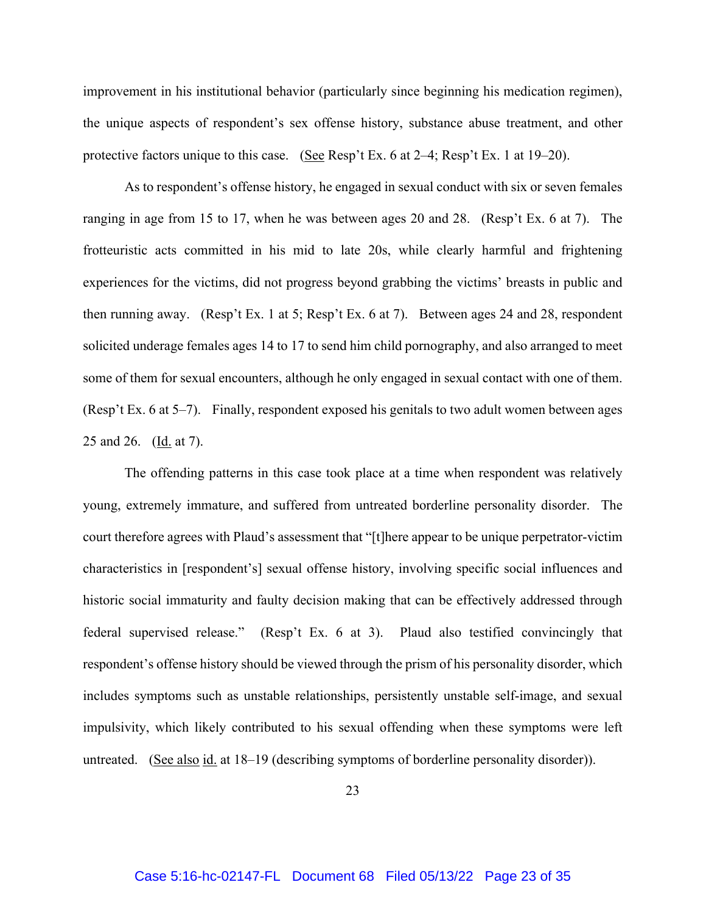improvement in his institutional behavior (particularly since beginning his medication regimen), the unique aspects of respondent's sex offense history, substance abuse treatment, and other protective factors unique to this case. (See Resp't Ex. 6 at 2–4; Resp't Ex. 1 at 19–20).

As to respondent's offense history, he engaged in sexual conduct with six or seven females ranging in age from 15 to 17, when he was between ages 20 and 28. (Resp't Ex. 6 at 7). The frotteuristic acts committed in his mid to late 20s, while clearly harmful and frightening experiences for the victims, did not progress beyond grabbing the victims' breasts in public and then running away. (Resp't Ex. 1 at 5; Resp't Ex. 6 at 7). Between ages 24 and 28, respondent solicited underage females ages 14 to 17 to send him child pornography, and also arranged to meet some of them for sexual encounters, although he only engaged in sexual contact with one of them. (Resp't Ex. 6 at 5–7). Finally, respondent exposed his genitals to two adult women between ages 25 and 26. (Id. at 7).

The offending patterns in this case took place at a time when respondent was relatively young, extremely immature, and suffered from untreated borderline personality disorder. The court therefore agrees with Plaud's assessment that "[t]here appear to be unique perpetrator-victim characteristics in [respondent's] sexual offense history, involving specific social influences and historic social immaturity and faulty decision making that can be effectively addressed through federal supervised release." (Resp't Ex. 6 at 3). Plaud also testified convincingly that respondent's offense history should be viewed through the prism of his personality disorder, which includes symptoms such as unstable relationships, persistently unstable self-image, and sexual impulsivity, which likely contributed to his sexual offending when these symptoms were left untreated. (See also id. at 18–19 (describing symptoms of borderline personality disorder)).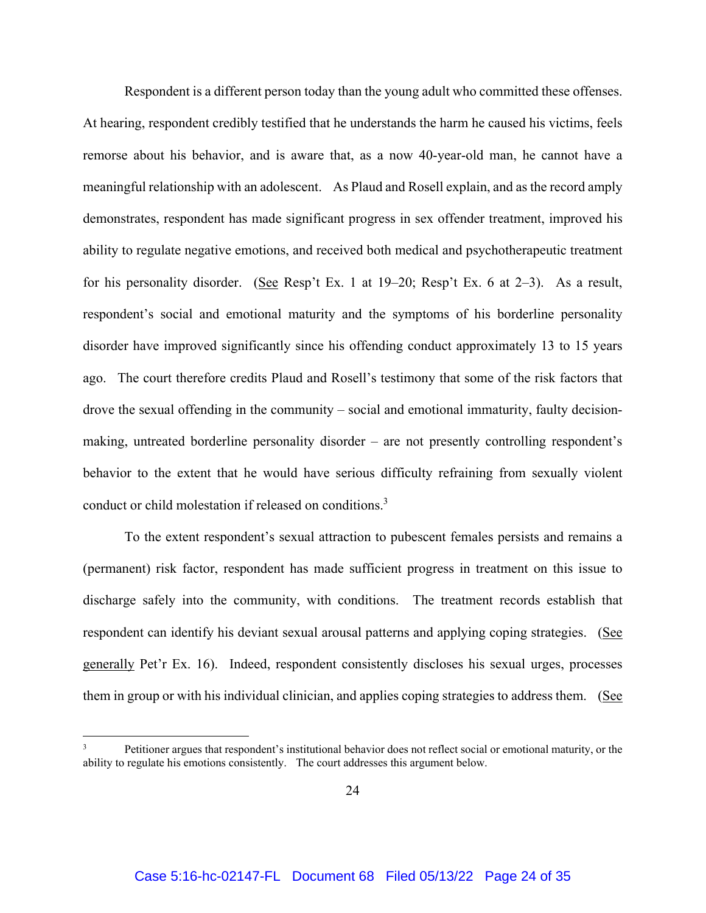Respondent is a different person today than the young adult who committed these offenses. At hearing, respondent credibly testified that he understands the harm he caused his victims, feels remorse about his behavior, and is aware that, as a now 40-year-old man, he cannot have a meaningful relationship with an adolescent. As Plaud and Rosell explain, and as the record amply demonstrates, respondent has made significant progress in sex offender treatment, improved his ability to regulate negative emotions, and received both medical and psychotherapeutic treatment for his personality disorder. (See Resp't Ex. 1 at 19–20; Resp't Ex. 6 at 2–3). As a result, respondent's social and emotional maturity and the symptoms of his borderline personality disorder have improved significantly since his offending conduct approximately 13 to 15 years ago. The court therefore credits Plaud and Rosell's testimony that some of the risk factors that drove the sexual offending in the community – social and emotional immaturity, faulty decisionmaking, untreated borderline personality disorder – are not presently controlling respondent's behavior to the extent that he would have serious difficulty refraining from sexually violent conduct or child molestation if released on conditions.<sup>3</sup>

To the extent respondent's sexual attraction to pubescent females persists and remains a (permanent) risk factor, respondent has made sufficient progress in treatment on this issue to discharge safely into the community, with conditions. The treatment records establish that respondent can identify his deviant sexual arousal patterns and applying coping strategies. (See generally Pet'r Ex. 16). Indeed, respondent consistently discloses his sexual urges, processes them in group or with his individual clinician, and applies coping strategies to address them. (See

<sup>3</sup> Petitioner argues that respondent's institutional behavior does not reflect social or emotional maturity, or the ability to regulate his emotions consistently. The court addresses this argument below.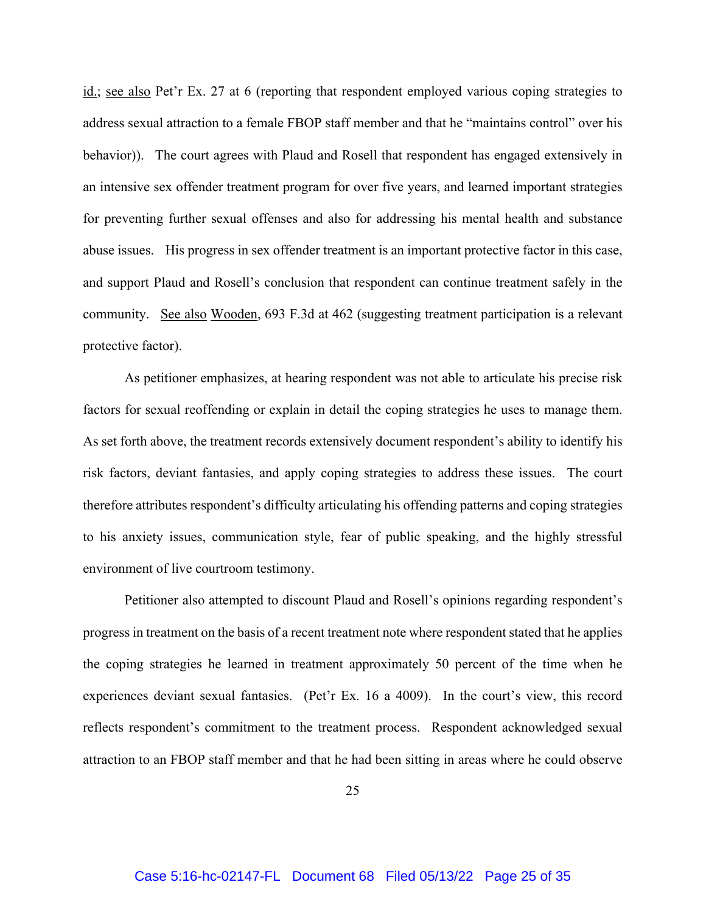id.; see also Pet'r Ex. 27 at 6 (reporting that respondent employed various coping strategies to address sexual attraction to a female FBOP staff member and that he "maintains control" over his behavior)). The court agrees with Plaud and Rosell that respondent has engaged extensively in an intensive sex offender treatment program for over five years, and learned important strategies for preventing further sexual offenses and also for addressing his mental health and substance abuse issues. His progress in sex offender treatment is an important protective factor in this case, and support Plaud and Rosell's conclusion that respondent can continue treatment safely in the community. See also Wooden, 693 F.3d at 462 (suggesting treatment participation is a relevant protective factor).

As petitioner emphasizes, at hearing respondent was not able to articulate his precise risk factors for sexual reoffending or explain in detail the coping strategies he uses to manage them. As set forth above, the treatment records extensively document respondent's ability to identify his risk factors, deviant fantasies, and apply coping strategies to address these issues. The court therefore attributes respondent's difficulty articulating his offending patterns and coping strategies to his anxiety issues, communication style, fear of public speaking, and the highly stressful environment of live courtroom testimony.

Petitioner also attempted to discount Plaud and Rosell's opinions regarding respondent's progress in treatment on the basis of a recent treatment note where respondent stated that he applies the coping strategies he learned in treatment approximately 50 percent of the time when he experiences deviant sexual fantasies. (Pet'r Ex. 16 a 4009). In the court's view, this record reflects respondent's commitment to the treatment process. Respondent acknowledged sexual attraction to an FBOP staff member and that he had been sitting in areas where he could observe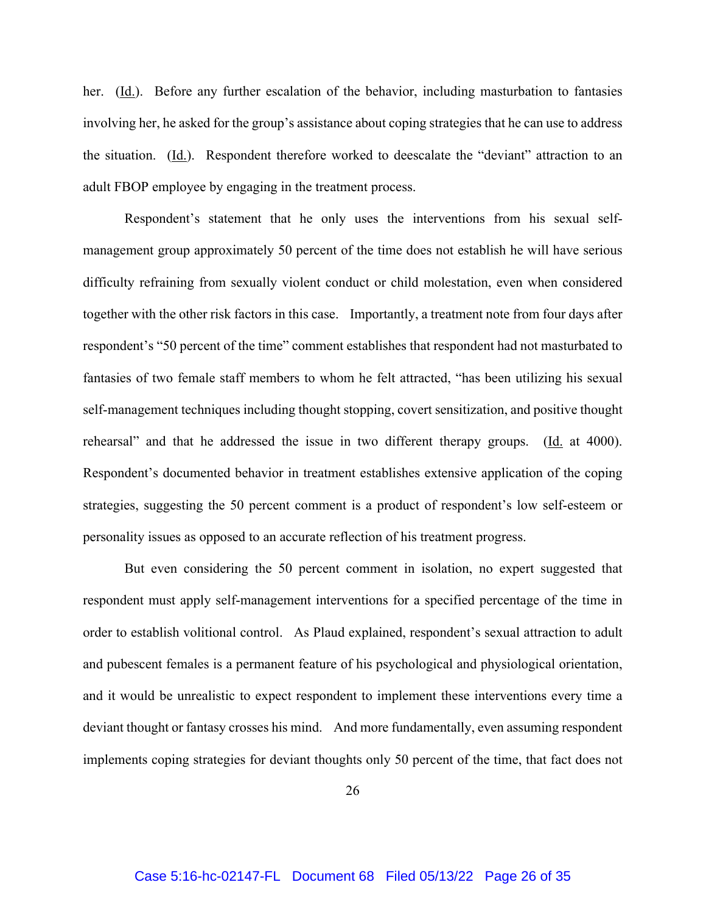her. (<u>Id.</u>). Before any further escalation of the behavior, including masturbation to fantasies involving her, he asked for the group's assistance about coping strategies that he can use to address the situation. (Id.). Respondent therefore worked to deescalate the "deviant" attraction to an adult FBOP employee by engaging in the treatment process.

Respondent's statement that he only uses the interventions from his sexual selfmanagement group approximately 50 percent of the time does not establish he will have serious difficulty refraining from sexually violent conduct or child molestation, even when considered together with the other risk factors in this case. Importantly, a treatment note from four days after respondent's "50 percent of the time" comment establishes that respondent had not masturbated to fantasies of two female staff members to whom he felt attracted, "has been utilizing his sexual self-management techniques including thought stopping, covert sensitization, and positive thought rehearsal" and that he addressed the issue in two different therapy groups. ( $\underline{Id}$ . at 4000). Respondent's documented behavior in treatment establishes extensive application of the coping strategies, suggesting the 50 percent comment is a product of respondent's low self-esteem or personality issues as opposed to an accurate reflection of his treatment progress.

But even considering the 50 percent comment in isolation, no expert suggested that respondent must apply self-management interventions for a specified percentage of the time in order to establish volitional control. As Plaud explained, respondent's sexual attraction to adult and pubescent females is a permanent feature of his psychological and physiological orientation, and it would be unrealistic to expect respondent to implement these interventions every time a deviant thought or fantasy crosses his mind. And more fundamentally, even assuming respondent implements coping strategies for deviant thoughts only 50 percent of the time, that fact does not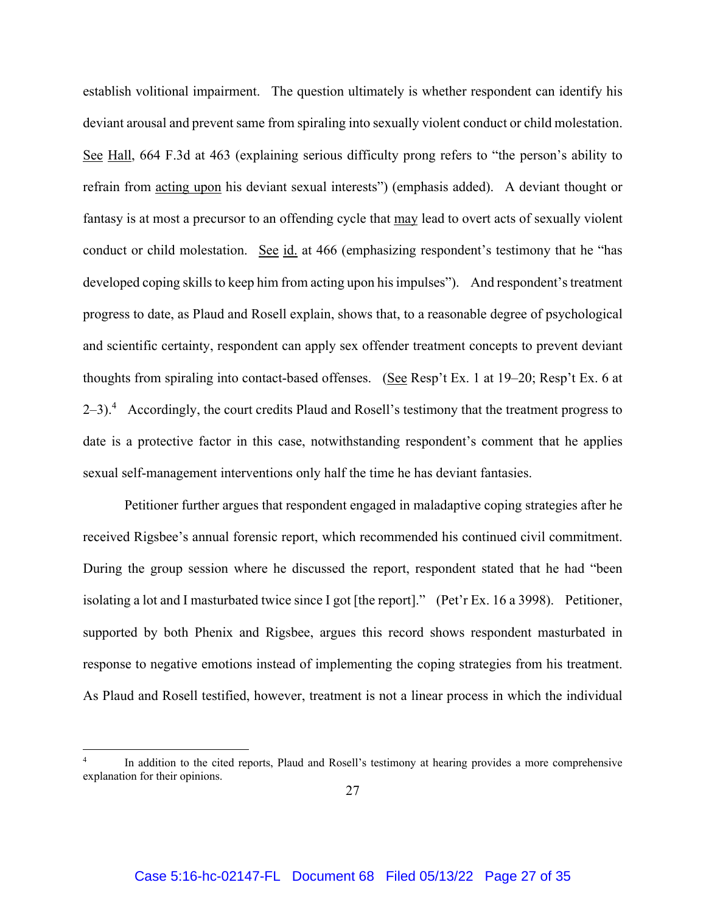establish volitional impairment. The question ultimately is whether respondent can identify his deviant arousal and prevent same from spiraling into sexually violent conduct or child molestation. See Hall, 664 F.3d at 463 (explaining serious difficulty prong refers to "the person's ability to refrain from acting upon his deviant sexual interests") (emphasis added). A deviant thought or fantasy is at most a precursor to an offending cycle that may lead to overt acts of sexually violent conduct or child molestation. See id. at 466 (emphasizing respondent's testimony that he "has developed coping skills to keep him from acting upon his impulses"). And respondent's treatment progress to date, as Plaud and Rosell explain, shows that, to a reasonable degree of psychological and scientific certainty, respondent can apply sex offender treatment concepts to prevent deviant thoughts from spiraling into contact-based offenses. (See Resp't Ex. 1 at 19–20; Resp't Ex. 6 at  $2-3$ ).<sup>4</sup> Accordingly, the court credits Plaud and Rosell's testimony that the treatment progress to date is a protective factor in this case, notwithstanding respondent's comment that he applies sexual self-management interventions only half the time he has deviant fantasies.

Petitioner further argues that respondent engaged in maladaptive coping strategies after he received Rigsbee's annual forensic report, which recommended his continued civil commitment. During the group session where he discussed the report, respondent stated that he had "been isolating a lot and I masturbated twice since I got [the report]." (Pet'r Ex. 16 a 3998). Petitioner, supported by both Phenix and Rigsbee, argues this record shows respondent masturbated in response to negative emotions instead of implementing the coping strategies from his treatment. As Plaud and Rosell testified, however, treatment is not a linear process in which the individual

<sup>4</sup> In addition to the cited reports, Plaud and Rosell's testimony at hearing provides a more comprehensive explanation for their opinions.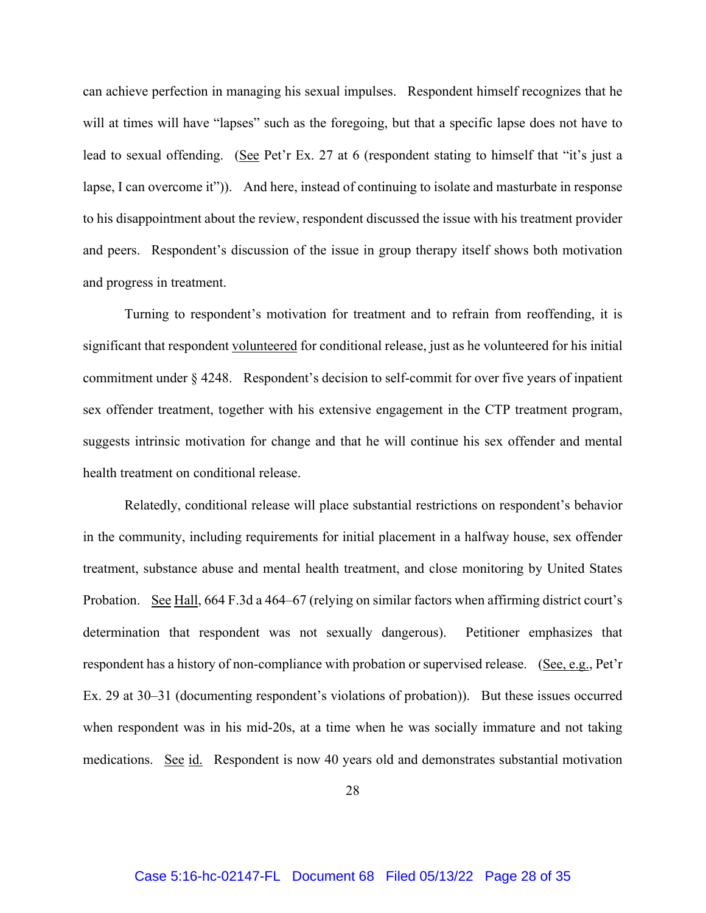can achieve perfection in managing his sexual impulses. Respondent himself recognizes that he will at times will have "lapses" such as the foregoing, but that a specific lapse does not have to lead to sexual offending. (See Pet'r Ex. 27 at 6 (respondent stating to himself that "it's just a lapse, I can overcome it")). And here, instead of continuing to isolate and masturbate in response to his disappointment about the review, respondent discussed the issue with his treatment provider and peers. Respondent's discussion of the issue in group therapy itself shows both motivation and progress in treatment.

Turning to respondent's motivation for treatment and to refrain from reoffending, it is significant that respondent volunteered for conditional release, just as he volunteered for his initial commitment under § 4248. Respondent's decision to self-commit for over five years of inpatient sex offender treatment, together with his extensive engagement in the CTP treatment program, suggests intrinsic motivation for change and that he will continue his sex offender and mental health treatment on conditional release.

Relatedly, conditional release will place substantial restrictions on respondent's behavior in the community, including requirements for initial placement in a halfway house, sex offender treatment, substance abuse and mental health treatment, and close monitoring by United States Probation. See Hall, 664 F.3d a 464–67 (relying on similar factors when affirming district court's determination that respondent was not sexually dangerous). Petitioner emphasizes that respondent has a history of non-compliance with probation or supervised release. (See, e.g., Pet'r Ex. 29 at 30–31 (documenting respondent's violations of probation)). But these issues occurred when respondent was in his mid-20s, at a time when he was socially immature and not taking medications. See id. Respondent is now 40 years old and demonstrates substantial motivation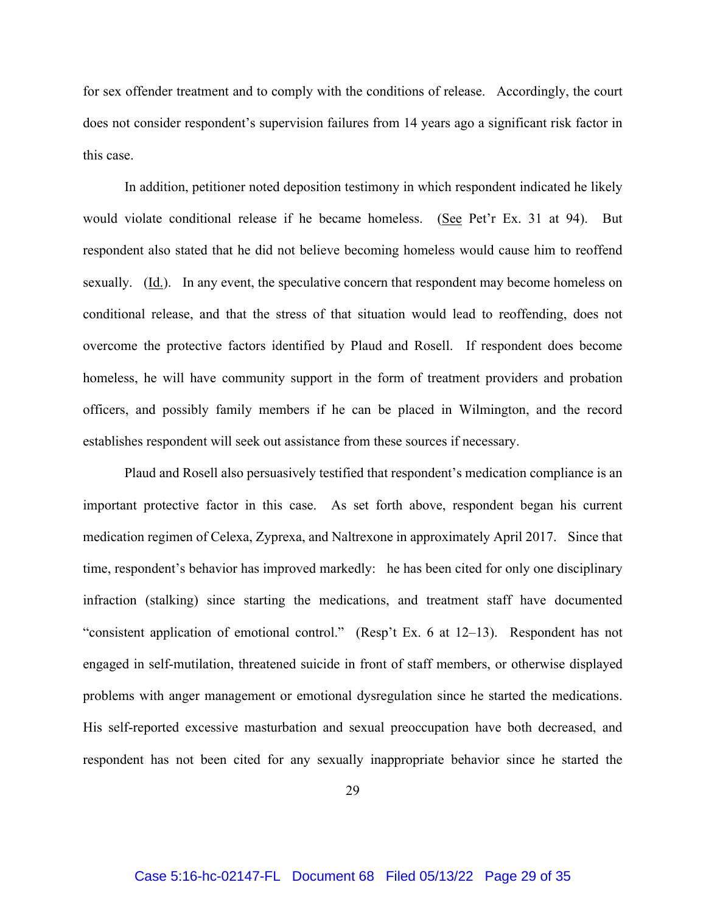for sex offender treatment and to comply with the conditions of release. Accordingly, the court does not consider respondent's supervision failures from 14 years ago a significant risk factor in this case.

In addition, petitioner noted deposition testimony in which respondent indicated he likely would violate conditional release if he became homeless. (See Pet'r Ex. 31 at 94). But respondent also stated that he did not believe becoming homeless would cause him to reoffend sexually. (Id.). In any event, the speculative concern that respondent may become homeless on conditional release, and that the stress of that situation would lead to reoffending, does not overcome the protective factors identified by Plaud and Rosell. If respondent does become homeless, he will have community support in the form of treatment providers and probation officers, and possibly family members if he can be placed in Wilmington, and the record establishes respondent will seek out assistance from these sources if necessary.

Plaud and Rosell also persuasively testified that respondent's medication compliance is an important protective factor in this case. As set forth above, respondent began his current medication regimen of Celexa, Zyprexa, and Naltrexone in approximately April 2017. Since that time, respondent's behavior has improved markedly: he has been cited for only one disciplinary infraction (stalking) since starting the medications, and treatment staff have documented "consistent application of emotional control." (Resp't Ex. 6 at 12–13). Respondent has not engaged in self-mutilation, threatened suicide in front of staff members, or otherwise displayed problems with anger management or emotional dysregulation since he started the medications. His self-reported excessive masturbation and sexual preoccupation have both decreased, and respondent has not been cited for any sexually inappropriate behavior since he started the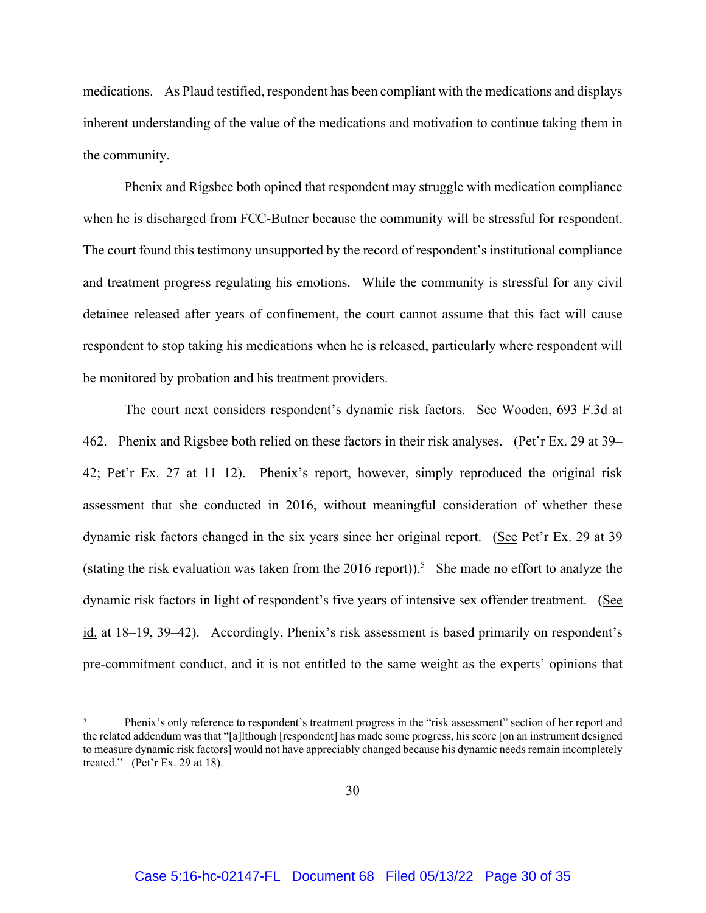medications. As Plaud testified, respondent has been compliant with the medications and displays inherent understanding of the value of the medications and motivation to continue taking them in the community.

Phenix and Rigsbee both opined that respondent may struggle with medication compliance when he is discharged from FCC-Butner because the community will be stressful for respondent. The court found this testimony unsupported by the record of respondent's institutional compliance and treatment progress regulating his emotions. While the community is stressful for any civil detainee released after years of confinement, the court cannot assume that this fact will cause respondent to stop taking his medications when he is released, particularly where respondent will be monitored by probation and his treatment providers.

The court next considers respondent's dynamic risk factors. See Wooden, 693 F.3d at 462. Phenix and Rigsbee both relied on these factors in their risk analyses. (Pet'r Ex. 29 at 39– 42; Pet'r Ex. 27 at 11–12). Phenix's report, however, simply reproduced the original risk assessment that she conducted in 2016, without meaningful consideration of whether these dynamic risk factors changed in the six years since her original report. (See Pet'r Ex. 29 at 39 (stating the risk evaluation was taken from the 2016 report)).<sup>5</sup> She made no effort to analyze the dynamic risk factors in light of respondent's five years of intensive sex offender treatment. (See id. at 18–19, 39–42). Accordingly, Phenix's risk assessment is based primarily on respondent's pre-commitment conduct, and it is not entitled to the same weight as the experts' opinions that

<sup>5</sup> Phenix's only reference to respondent's treatment progress in the "risk assessment" section of her report and the related addendum was that "[a]lthough [respondent] has made some progress, his score [on an instrument designed to measure dynamic risk factors] would not have appreciably changed because his dynamic needs remain incompletely treated." (Pet'r Ex. 29 at 18).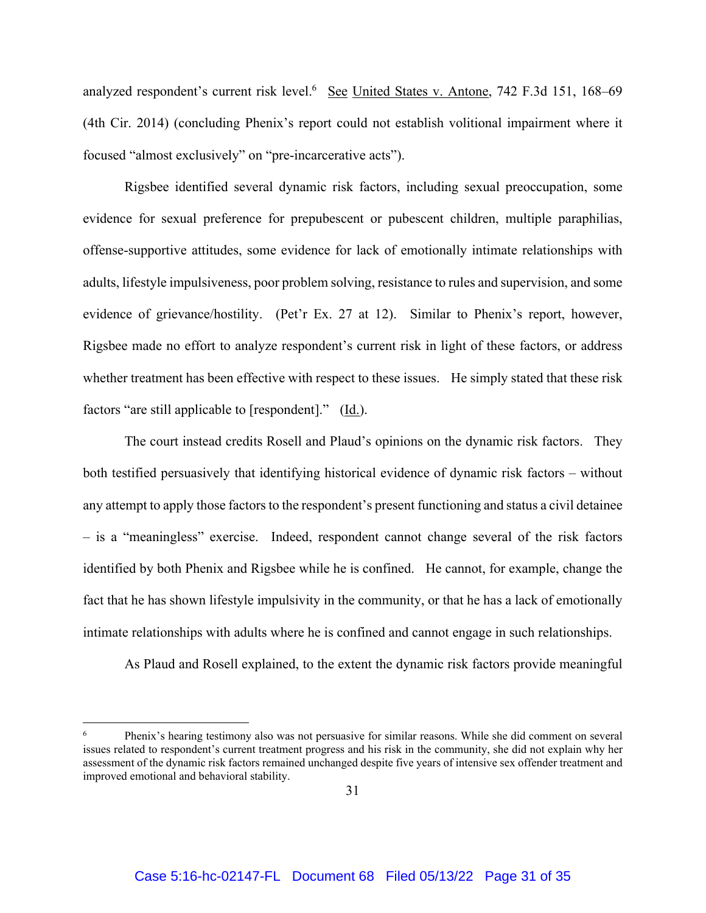analyzed respondent's current risk level.<sup>6</sup> See United States v. Antone, 742 F.3d 151, 168–69 (4th Cir. 2014) (concluding Phenix's report could not establish volitional impairment where it focused "almost exclusively" on "pre-incarcerative acts").

Rigsbee identified several dynamic risk factors, including sexual preoccupation, some evidence for sexual preference for prepubescent or pubescent children, multiple paraphilias, offense-supportive attitudes, some evidence for lack of emotionally intimate relationships with adults, lifestyle impulsiveness, poor problem solving, resistance to rules and supervision, and some evidence of grievance/hostility. (Pet'r Ex. 27 at 12). Similar to Phenix's report, however, Rigsbee made no effort to analyze respondent's current risk in light of these factors, or address whether treatment has been effective with respect to these issues. He simply stated that these risk factors "are still applicable to [respondent]." (Id.).

The court instead credits Rosell and Plaud's opinions on the dynamic risk factors. They both testified persuasively that identifying historical evidence of dynamic risk factors – without any attempt to apply those factors to the respondent's present functioning and status a civil detainee – is a "meaningless" exercise. Indeed, respondent cannot change several of the risk factors identified by both Phenix and Rigsbee while he is confined. He cannot, for example, change the fact that he has shown lifestyle impulsivity in the community, or that he has a lack of emotionally intimate relationships with adults where he is confined and cannot engage in such relationships.

As Plaud and Rosell explained, to the extent the dynamic risk factors provide meaningful

<sup>6</sup> Phenix's hearing testimony also was not persuasive for similar reasons. While she did comment on several issues related to respondent's current treatment progress and his risk in the community, she did not explain why her assessment of the dynamic risk factors remained unchanged despite five years of intensive sex offender treatment and improved emotional and behavioral stability.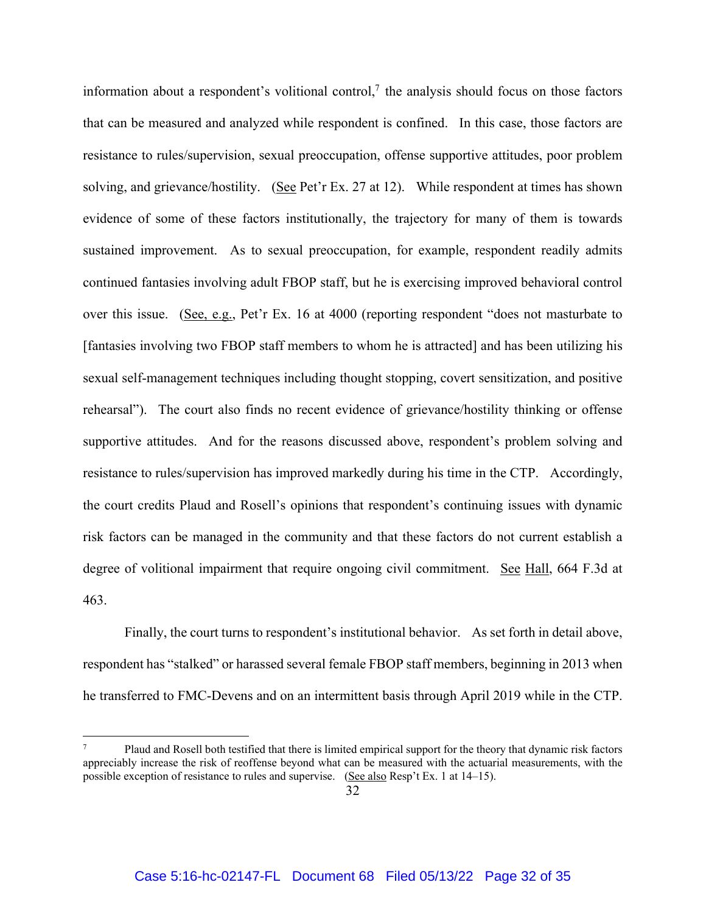information about a respondent's volitional control,<sup>7</sup> the analysis should focus on those factors that can be measured and analyzed while respondent is confined. In this case, those factors are resistance to rules/supervision, sexual preoccupation, offense supportive attitudes, poor problem solving, and grievance/hostility. (See Pet'r Ex. 27 at 12). While respondent at times has shown evidence of some of these factors institutionally, the trajectory for many of them is towards sustained improvement. As to sexual preoccupation, for example, respondent readily admits continued fantasies involving adult FBOP staff, but he is exercising improved behavioral control over this issue. (See, e.g., Pet'r Ex. 16 at 4000 (reporting respondent "does not masturbate to [fantasies involving two FBOP staff members to whom he is attracted] and has been utilizing his sexual self-management techniques including thought stopping, covert sensitization, and positive rehearsal"). The court also finds no recent evidence of grievance/hostility thinking or offense supportive attitudes. And for the reasons discussed above, respondent's problem solving and resistance to rules/supervision has improved markedly during his time in the CTP. Accordingly, the court credits Plaud and Rosell's opinions that respondent's continuing issues with dynamic risk factors can be managed in the community and that these factors do not current establish a degree of volitional impairment that require ongoing civil commitment. See Hall, 664 F.3d at 463.

Finally, the court turns to respondent's institutional behavior. As set forth in detail above, respondent has "stalked" or harassed several female FBOP staff members, beginning in 2013 when he transferred to FMC-Devens and on an intermittent basis through April 2019 while in the CTP.

<sup>7</sup> Plaud and Rosell both testified that there is limited empirical support for the theory that dynamic risk factors appreciably increase the risk of reoffense beyond what can be measured with the actuarial measurements, with the possible exception of resistance to rules and supervise. (See also Resp't Ex. 1 at 14–15).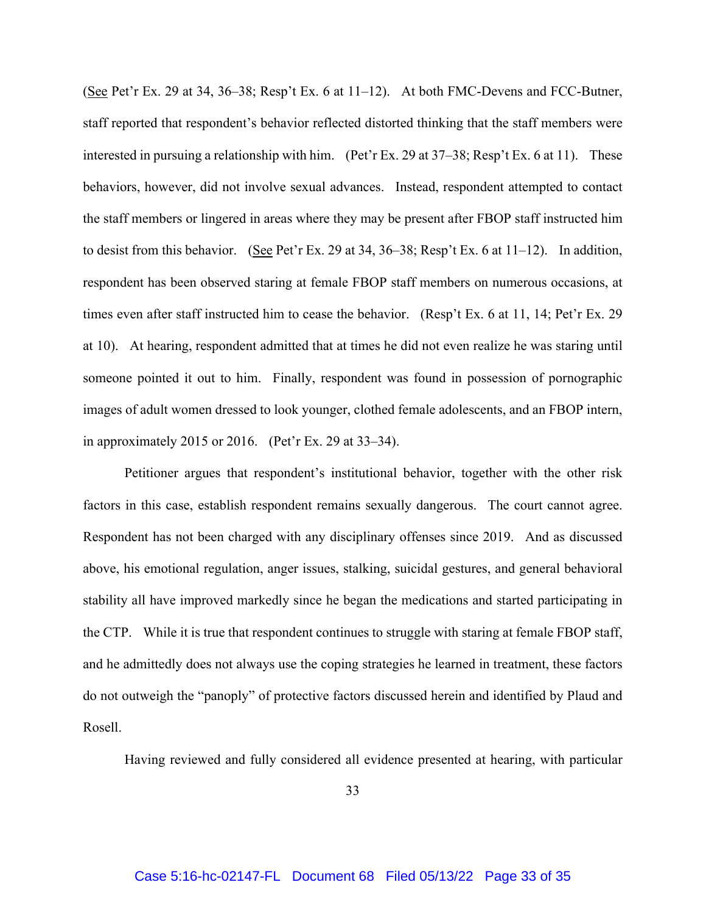(See Pet'r Ex. 29 at 34, 36–38; Resp't Ex. 6 at 11–12). At both FMC-Devens and FCC-Butner, staff reported that respondent's behavior reflected distorted thinking that the staff members were interested in pursuing a relationship with him. (Pet'r Ex. 29 at 37–38; Resp't Ex. 6 at 11). These behaviors, however, did not involve sexual advances. Instead, respondent attempted to contact the staff members or lingered in areas where they may be present after FBOP staff instructed him to desist from this behavior. (See Pet'r Ex. 29 at 34, 36–38; Resp't Ex. 6 at 11–12). In addition, respondent has been observed staring at female FBOP staff members on numerous occasions, at times even after staff instructed him to cease the behavior. (Resp't Ex. 6 at 11, 14; Pet'r Ex. 29 at 10). At hearing, respondent admitted that at times he did not even realize he was staring until someone pointed it out to him. Finally, respondent was found in possession of pornographic images of adult women dressed to look younger, clothed female adolescents, and an FBOP intern, in approximately 2015 or 2016. (Pet'r Ex. 29 at 33–34).

Petitioner argues that respondent's institutional behavior, together with the other risk factors in this case, establish respondent remains sexually dangerous. The court cannot agree. Respondent has not been charged with any disciplinary offenses since 2019. And as discussed above, his emotional regulation, anger issues, stalking, suicidal gestures, and general behavioral stability all have improved markedly since he began the medications and started participating in the CTP. While it is true that respondent continues to struggle with staring at female FBOP staff, and he admittedly does not always use the coping strategies he learned in treatment, these factors do not outweigh the "panoply" of protective factors discussed herein and identified by Plaud and Rosell.

Having reviewed and fully considered all evidence presented at hearing, with particular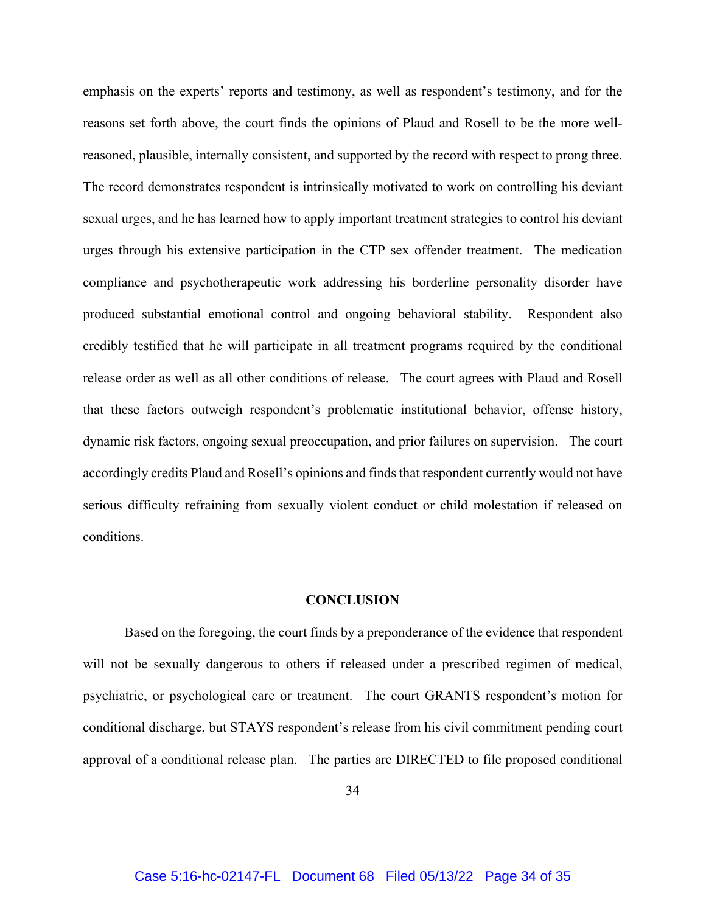emphasis on the experts' reports and testimony, as well as respondent's testimony, and for the reasons set forth above, the court finds the opinions of Plaud and Rosell to be the more wellreasoned, plausible, internally consistent, and supported by the record with respect to prong three. The record demonstrates respondent is intrinsically motivated to work on controlling his deviant sexual urges, and he has learned how to apply important treatment strategies to control his deviant urges through his extensive participation in the CTP sex offender treatment. The medication compliance and psychotherapeutic work addressing his borderline personality disorder have produced substantial emotional control and ongoing behavioral stability. Respondent also credibly testified that he will participate in all treatment programs required by the conditional release order as well as all other conditions of release. The court agrees with Plaud and Rosell that these factors outweigh respondent's problematic institutional behavior, offense history, dynamic risk factors, ongoing sexual preoccupation, and prior failures on supervision. The court accordingly credits Plaud and Rosell's opinions and finds that respondent currently would not have serious difficulty refraining from sexually violent conduct or child molestation if released on conditions.

### **CONCLUSION**

Based on the foregoing, the court finds by a preponderance of the evidence that respondent will not be sexually dangerous to others if released under a prescribed regimen of medical, psychiatric, or psychological care or treatment. The court GRANTS respondent's motion for conditional discharge, but STAYS respondent's release from his civil commitment pending court approval of a conditional release plan. The parties are DIRECTED to file proposed conditional